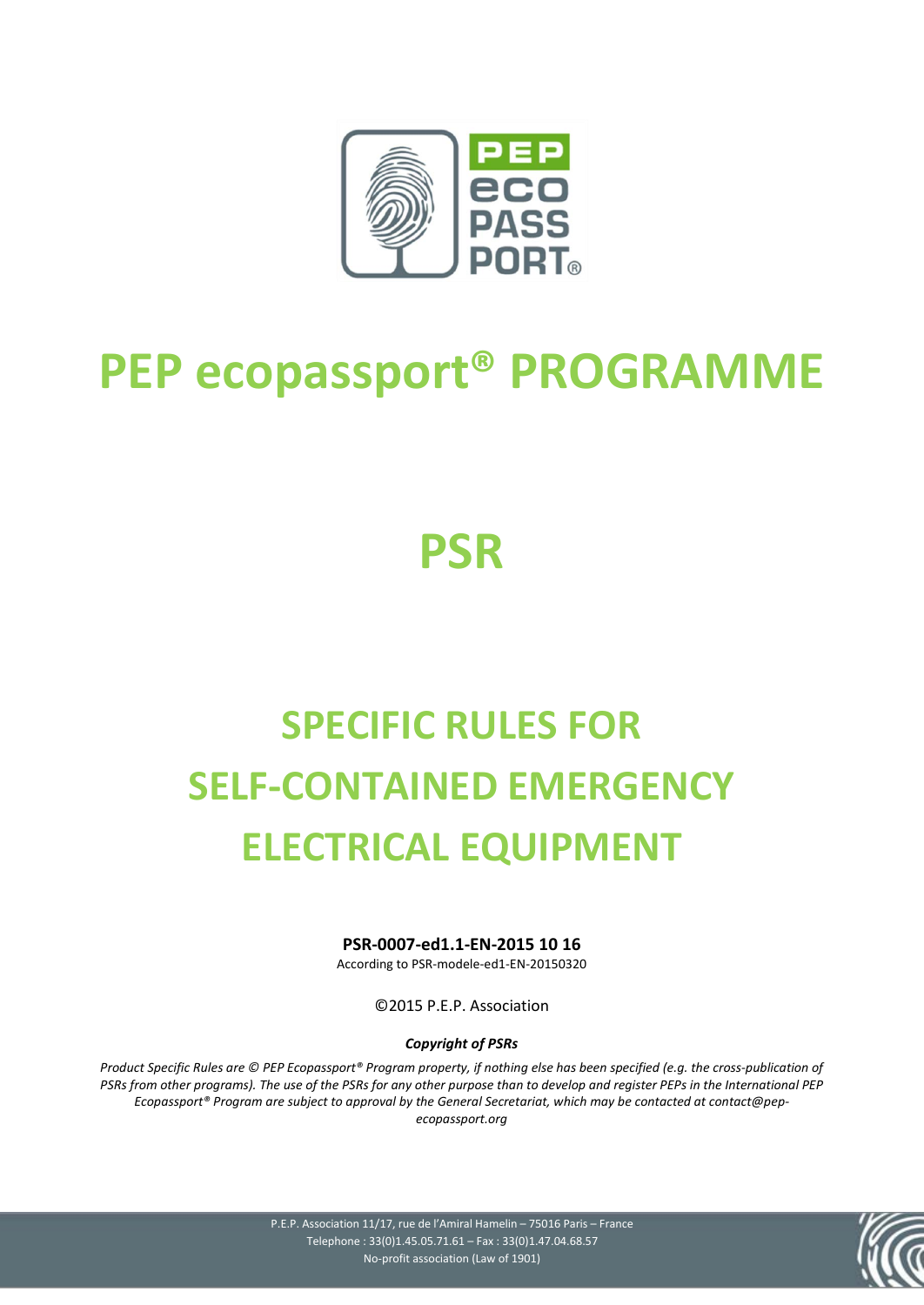

# **PEP ecopassport® PROGRAMME**

# **PSR**

# **SPECIFIC RULES FOR SELF-CONTAINED EMERGENCY ELECTRICAL EQUIPMENT**

**PSR-0007-ed1.1-EN-2015 10 16**

According to PSR-modele-ed1-EN-20150320

©2015 P.E.P. Association

#### *Copyright of PSRs*

*Product Specific Rules are © PEP Ecopassport® Program property, if nothing else has been specified (e.g. the cross-publication of PSRs from other programs). The use of the PSRs for any other purpose than to develop and register PEPs in the International PEP Ecopassport® Program are subject to approval by the General Secretariat, which may be contacted at contact@pepecopassport.org* 

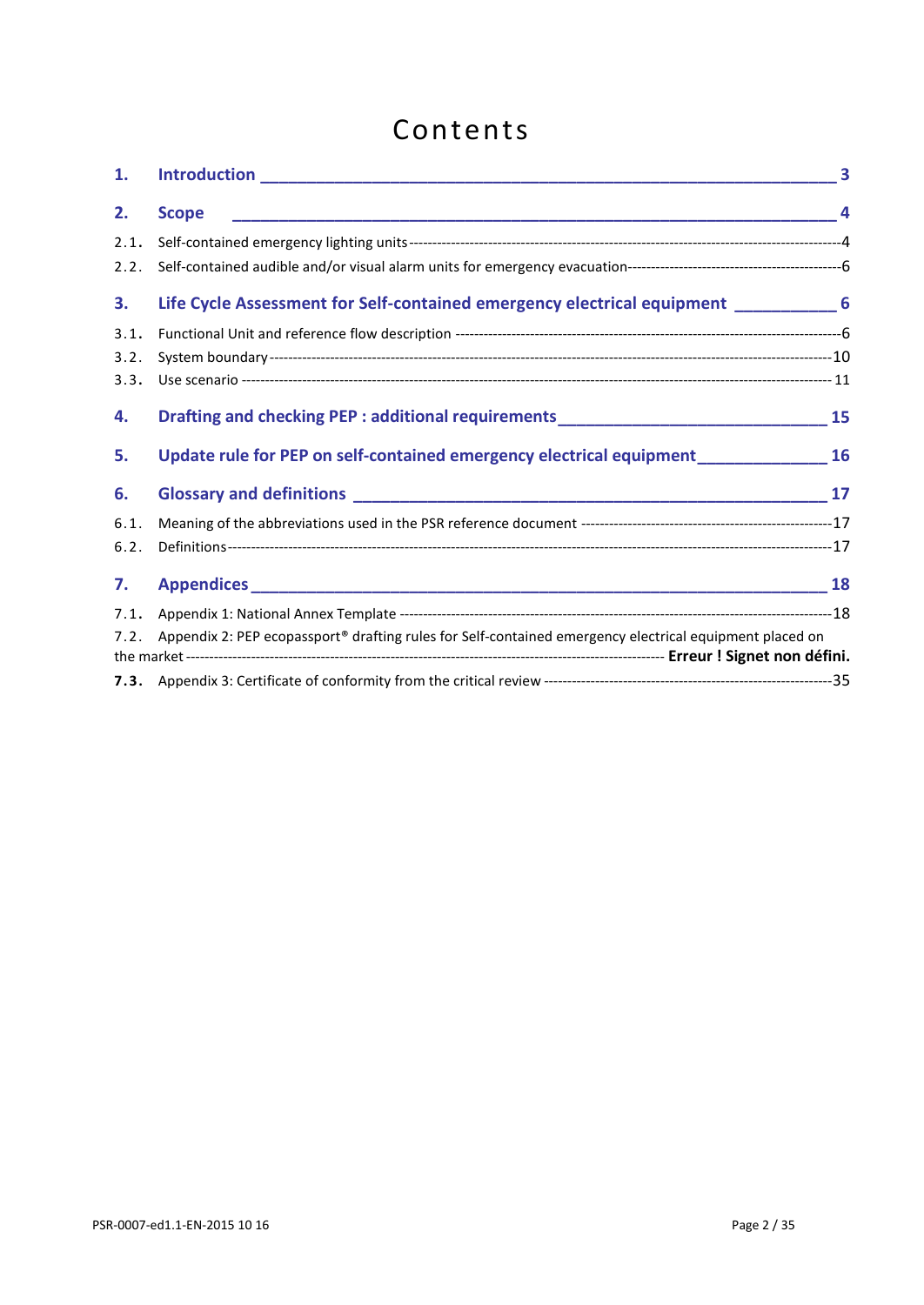# Contents

| 1.   |                                                                                                         |  |
|------|---------------------------------------------------------------------------------------------------------|--|
| 2.   | <b>Scope</b>                                                                                            |  |
| 2.1. |                                                                                                         |  |
| 2.2. |                                                                                                         |  |
| 3.   | Life Cycle Assessment for Self-contained emergency electrical equipment _____________6                  |  |
| 3.1. |                                                                                                         |  |
| 3.2. |                                                                                                         |  |
| 3.3. |                                                                                                         |  |
| 4.   | Drafting and checking PEP : additional requirements_______________________________15                    |  |
| 5.   | Update rule for PEP on self-contained emergency electrical equipment __________________ 16              |  |
| 6.   |                                                                                                         |  |
| 6.1. |                                                                                                         |  |
| 6.2. |                                                                                                         |  |
| 7.   |                                                                                                         |  |
| 7.1. |                                                                                                         |  |
| 7.2. | Appendix 2: PEP ecopassport® drafting rules for Self-contained emergency electrical equipment placed on |  |
|      |                                                                                                         |  |
|      |                                                                                                         |  |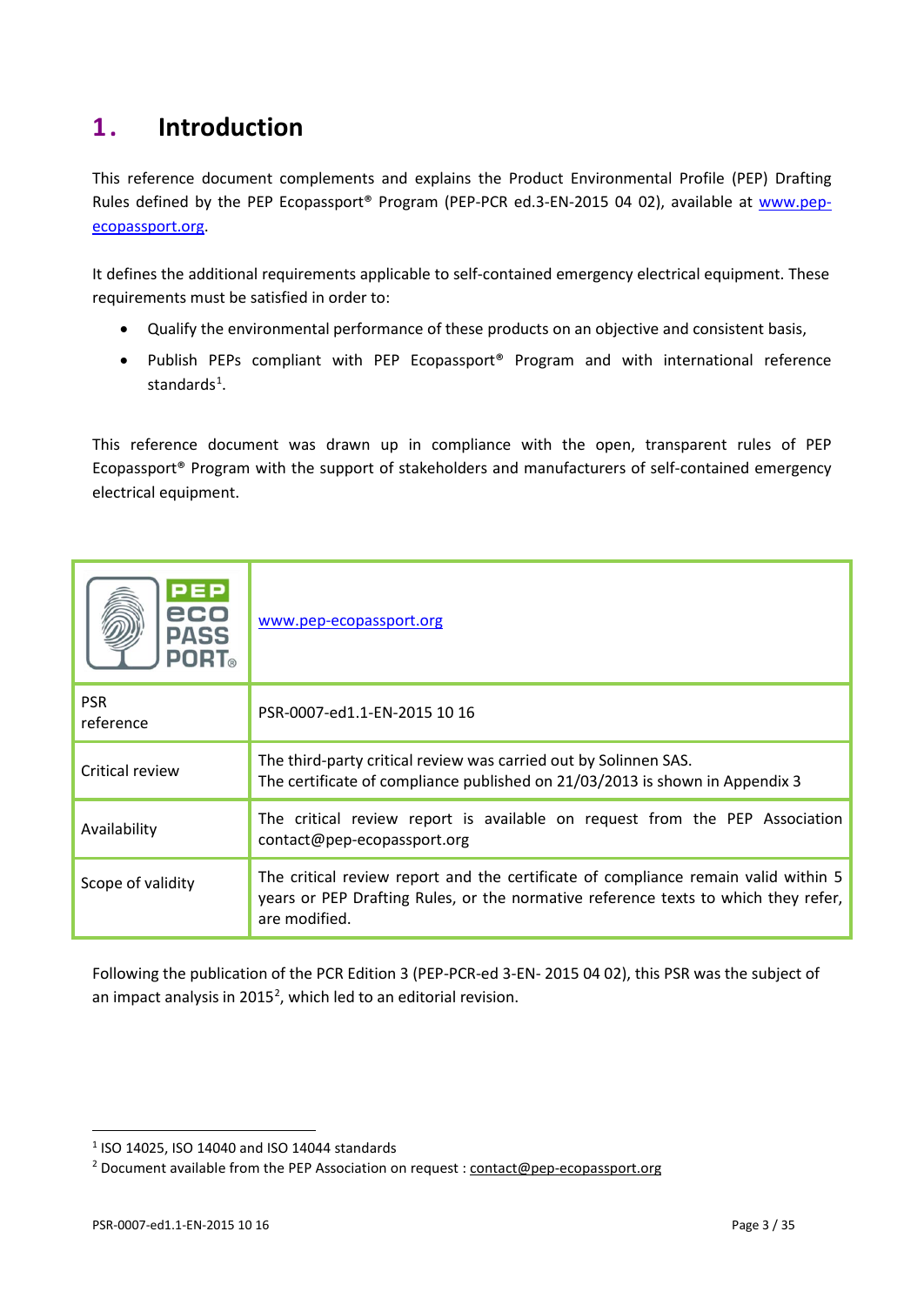# <span id="page-2-0"></span>**1 . Introduction**

This reference document complements and explains the Product Environmental Profile (PEP) Drafting Rules defined by the PEP Ecopassport® Program (PEP-PCR ed.3-EN-2015 04 02), available at [www.pep](http://www.pep-ecopassport.org/)[ecopassport.org.](http://www.pep-ecopassport.org/)

It defines the additional requirements applicable to self-contained emergency electrical equipment. These requirements must be satisfied in order to:

- Qualify the environmental performance of these products on an objective and consistent basis,
- Publish PEPs compliant with PEP Ecopassport® Program and with international reference standards<sup>[1](#page-2-1)</sup>.

This reference document was drawn up in compliance with the open, transparent rules of PEP Ecopassport® Program with the support of stakeholders and manufacturers of self-contained emergency electrical equipment.

| PEP<br>eco<br><b>PASS</b><br><b>PORT</b> ® | www.pep-ecopassport.org                                                                                                                                                                   |
|--------------------------------------------|-------------------------------------------------------------------------------------------------------------------------------------------------------------------------------------------|
| <b>PSR</b><br>reference                    | PSR-0007-ed1.1-EN-2015 10 16                                                                                                                                                              |
| Critical review                            | The third-party critical review was carried out by Solinnen SAS.<br>The certificate of compliance published on 21/03/2013 is shown in Appendix 3                                          |
| Availability                               | The critical review report is available on request from the PEP Association<br>contact@pep-ecopassport.org                                                                                |
| Scope of validity                          | The critical review report and the certificate of compliance remain valid within 5<br>years or PEP Drafting Rules, or the normative reference texts to which they refer,<br>are modified. |

Following the publication of the PCR Edition 3 (PEP-PCR-ed 3-EN- 2015 04 02), this PSR was the subject of an impact analysis in [2](#page-2-2)015<sup>2</sup>, which led to an editorial revision.

 $\overline{a}$ 

<span id="page-2-1"></span><sup>1</sup> ISO 14025, ISO 14040 and ISO 14044 standards

<span id="page-2-2"></span><sup>&</sup>lt;sup>2</sup> Document available from the PEP Association on request : [contact@pep-ecopassport.org](mailto:contact@pep-ecopassport.org)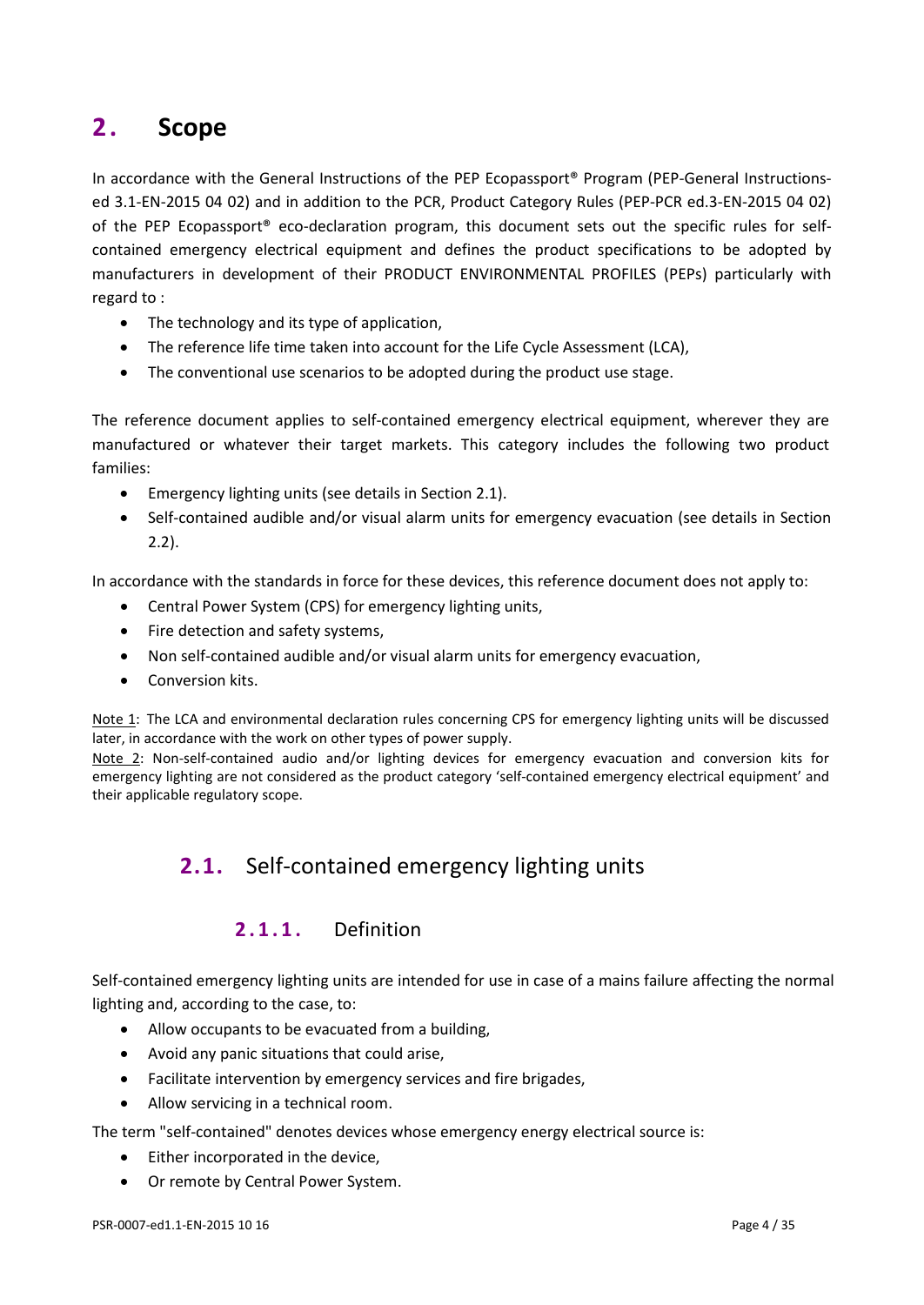# <span id="page-3-0"></span>**2 . Scope**

In accordance with the General Instructions of the PEP Ecopassport<sup>®</sup> Program (PEP-General Instructionsed 3.1-EN-2015 04 02) and in addition to the PCR, Product Category Rules (PEP-PCR ed.3-EN-2015 04 02) of the PEP Ecopassport® eco-declaration program, this document sets out the specific rules for selfcontained emergency electrical equipment and defines the product specifications to be adopted by manufacturers in development of their PRODUCT ENVIRONMENTAL PROFILES (PEPs) particularly with regard to :

- The technology and its type of application,
- The reference life time taken into account for the Life Cycle Assessment (LCA),
- The conventional use scenarios to be adopted during the product use stage.

The reference document applies to self-contained emergency electrical equipment, wherever they are manufactured or whatever their target markets. This category includes the following two product families:

- Emergency lighting units (see details in Section 2.1).
- Self-contained audible and/or visual alarm units for emergency evacuation (see details in Section 2.2).

In accordance with the standards in force for these devices, this reference document does not apply to:

- Central Power System (CPS) for emergency lighting units,
- Fire detection and safety systems,
- Non self-contained audible and/or visual alarm units for emergency evacuation,
- Conversion kits.

Note 1: The LCA and environmental declaration rules concerning CPS for emergency lighting units will be discussed later, in accordance with the work on other types of power supply.

<span id="page-3-1"></span>Note 2: Non-self-contained audio and/or lighting devices for emergency evacuation and conversion kits for emergency lighting are not considered as the product category 'self-contained emergency electrical equipment' and their applicable regulatory scope.

## **2.1.** Self-contained emergency lighting units

#### **2.1.1.** Definition

Self-contained emergency lighting units are intended for use in case of a mains failure affecting the normal lighting and, according to the case, to:

- Allow occupants to be evacuated from a building,
- Avoid any panic situations that could arise,
- Facilitate intervention by emergency services and fire brigades,
- Allow servicing in a technical room.

The term "self-contained" denotes devices whose emergency energy electrical source is:

- Either incorporated in the device,
- Or remote by Central Power System.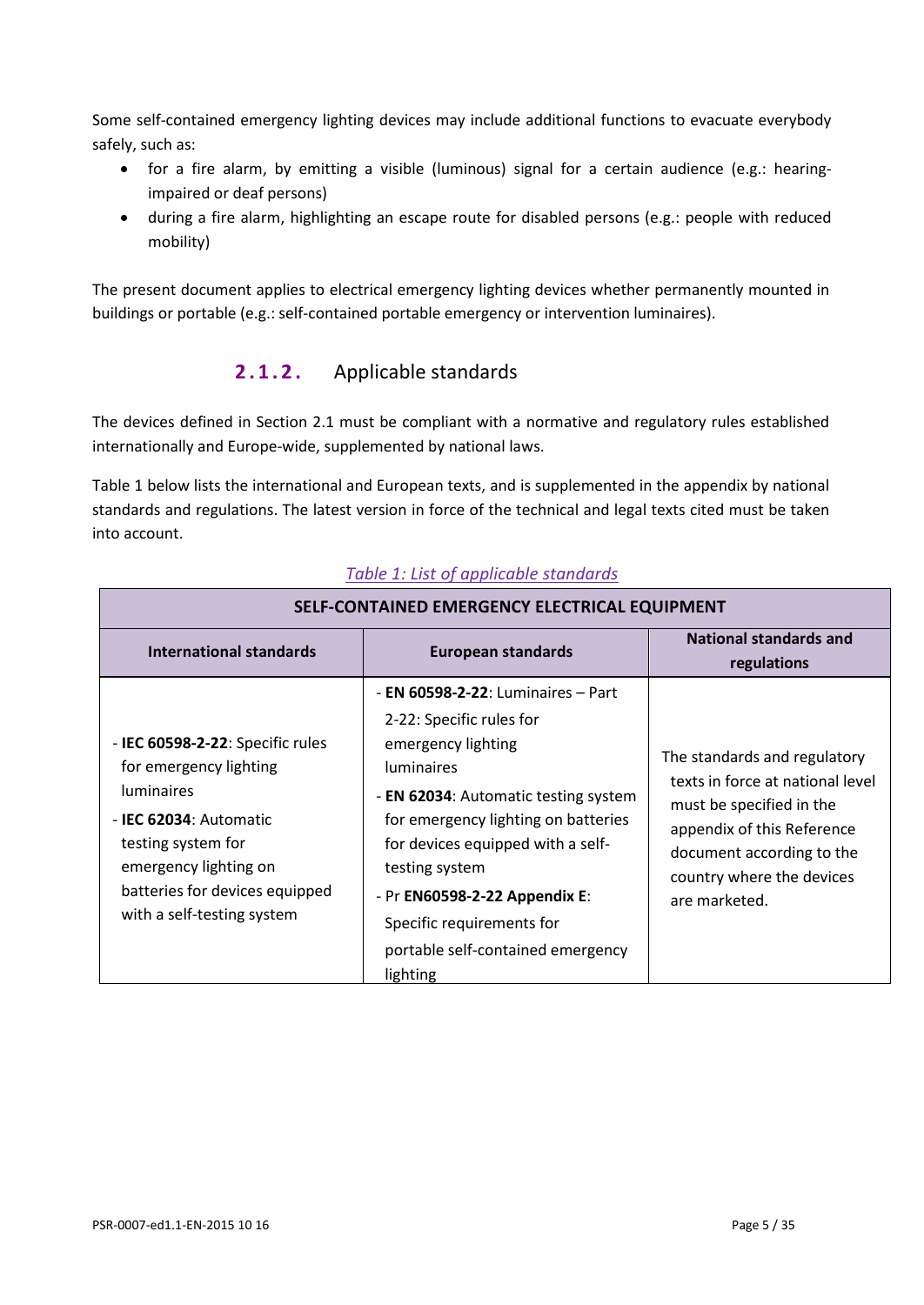Some self-contained emergency lighting devices may include additional functions to evacuate everybody safely, such as:

- for a fire alarm, by emitting a visible (luminous) signal for a certain audience (e.g.: hearingimpaired or deaf persons)
- during a fire alarm, highlighting an escape route for disabled persons (e.g.: people with reduced mobility)

The present document applies to electrical emergency lighting devices whether permanently mounted in buildings or portable (e.g.: self-contained portable emergency or intervention luminaires).

## **2.1.2.** Applicable standards

The devices defined in Section 2.1 must be compliant with a normative and regulatory rules established internationally and Europe-wide, supplemented by national laws.

Table 1 below lists the international and European texts, and is supplemented in the appendix by national standards and regulations. The latest version in force of the technical and legal texts cited must be taken into account.

| SELF-CONTAINED EMERGENCY ELECTRICAL EQUIPMENT                                                                                                                                                                                    |                                                                                                                                                                                                                                                                                                                                                       |                                                                                                                                                                                                       |  |  |  |  |  |
|----------------------------------------------------------------------------------------------------------------------------------------------------------------------------------------------------------------------------------|-------------------------------------------------------------------------------------------------------------------------------------------------------------------------------------------------------------------------------------------------------------------------------------------------------------------------------------------------------|-------------------------------------------------------------------------------------------------------------------------------------------------------------------------------------------------------|--|--|--|--|--|
| International standards<br><b>European standards</b>                                                                                                                                                                             |                                                                                                                                                                                                                                                                                                                                                       | National standards and<br>regulations                                                                                                                                                                 |  |  |  |  |  |
| - IEC 60598-2-22: Specific rules<br>for emergency lighting<br><b>luminaires</b><br>- <b>IEC 62034</b> : Automatic<br>testing system for<br>emergency lighting on<br>batteries for devices equipped<br>with a self-testing system | - EN $60598 - 22$ : Luminaires – Part<br>2-22: Specific rules for<br>emergency lighting<br><b>luminaires</b><br>- EN 62034: Automatic testing system<br>for emergency lighting on batteries<br>for devices equipped with a self-<br>testing system<br>- Pr EN60598-2-22 Appendix E:<br>Specific requirements for<br>portable self-contained emergency | The standards and regulatory<br>texts in force at national level<br>must be specified in the<br>appendix of this Reference<br>document according to the<br>country where the devices<br>are marketed. |  |  |  |  |  |
|                                                                                                                                                                                                                                  | lighting                                                                                                                                                                                                                                                                                                                                              |                                                                                                                                                                                                       |  |  |  |  |  |

#### *Table 1: List of applicable standards*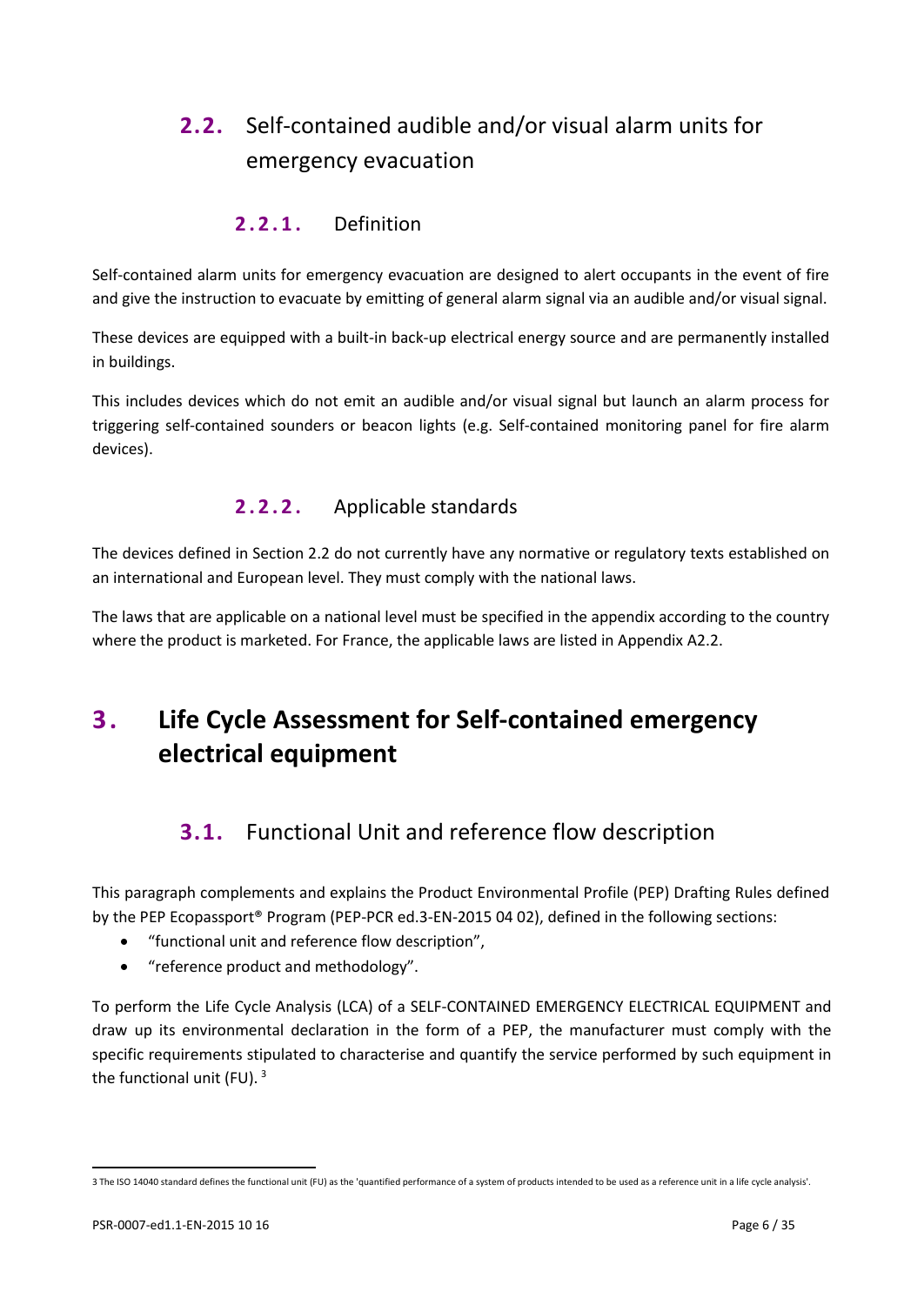# <span id="page-5-0"></span>**2.2.** Self-contained audible and/or visual alarm units for emergency evacuation

### **2.2.1.** Definition

Self-contained alarm units for emergency evacuation are designed to alert occupants in the event of fire and give the instruction to evacuate by emitting of general alarm signal via an audible and/or visual signal.

These devices are equipped with a built-in back-up electrical energy source and are permanently installed in buildings.

This includes devices which do not emit an audible and/or visual signal but launch an alarm process for triggering self-contained sounders or beacon lights (e.g. Self-contained monitoring panel for fire alarm devices).

## **2.2.2.** Applicable standards

The devices defined in Section 2.2 do not currently have any normative or regulatory texts established on an international and European level. They must comply with the national laws.

The laws that are applicable on a national level must be specified in the appendix according to the country where the product is marketed. For France, the applicable laws are listed in Appendix A2.2.

# <span id="page-5-2"></span><span id="page-5-1"></span>**3 . Life Cycle Assessment for Self-contained emergency electrical equipment**

# **3.1.** Functional Unit and reference flow description

This paragraph complements and explains the Product Environmental Profile (PEP) Drafting Rules defined by the PEP Ecopassport® Program (PEP-PCR ed.3-EN-2015 04 02), defined in the following sections:

- "functional unit and reference flow description",
- "reference product and methodology".

To perform the Life Cycle Analysis (LCA) of a SELF-CONTAINED EMERGENCY ELECTRICAL EQUIPMENT and draw up its environmental declaration in the form of a PEP, the manufacturer must comply with the specific requirements stipulated to characterise and quantify the service performed by such equipment in the functional unit (FU).  $3$ 

 $\overline{a}$ 

<span id="page-5-3"></span><sup>3</sup> The ISO 14040 standard defines the functional unit (FU) as the 'quantified performance of a system of products intended to be used as a reference unit in a life cycle analysis'.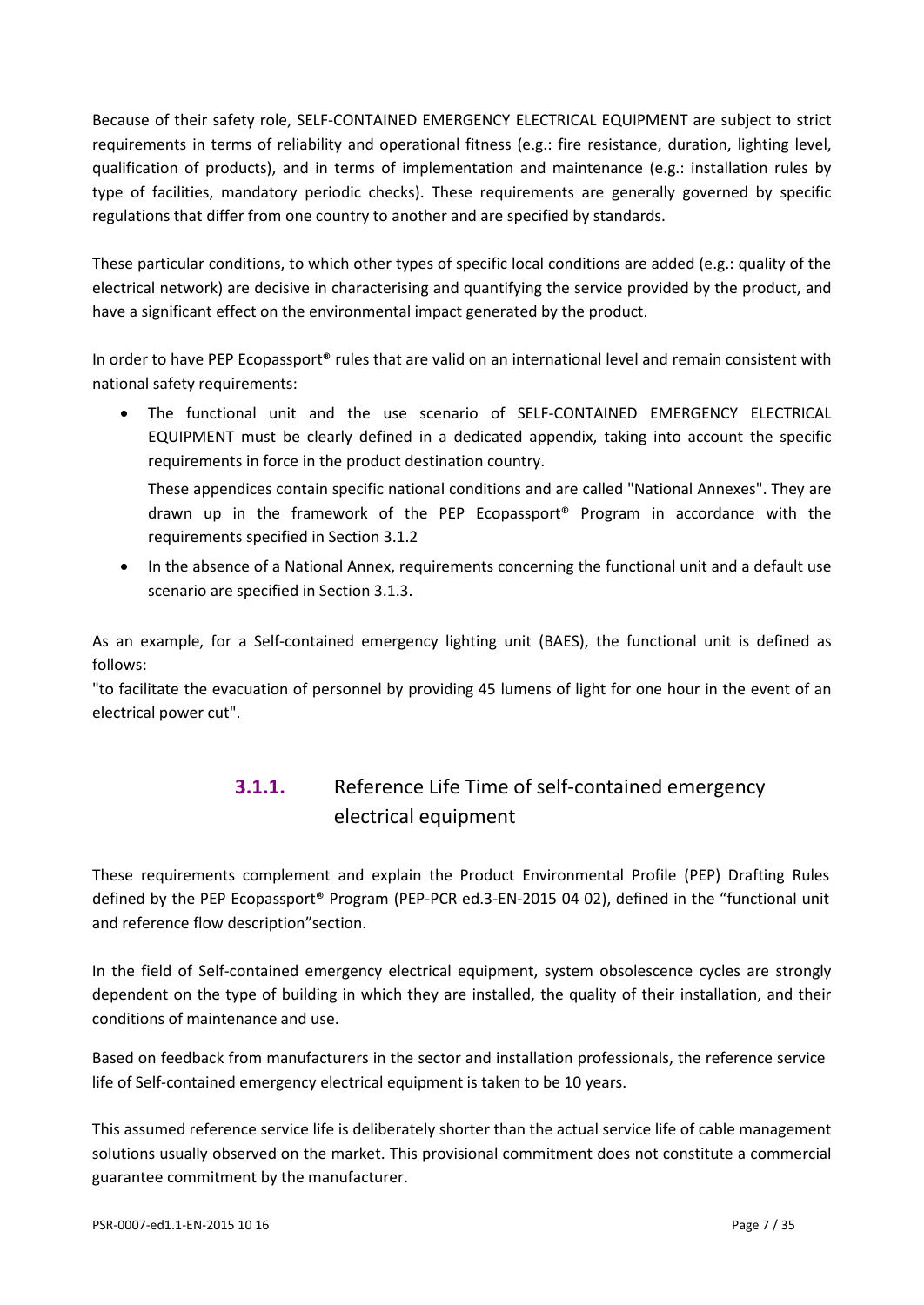Because of their safety role, SELF-CONTAINED EMERGENCY ELECTRICAL EQUIPMENT are subject to strict requirements in terms of reliability and operational fitness (e.g.: fire resistance, duration, lighting level, qualification of products), and in terms of implementation and maintenance (e.g.: installation rules by type of facilities, mandatory periodic checks). These requirements are generally governed by specific regulations that differ from one country to another and are specified by standards.

These particular conditions, to which other types of specific local conditions are added (e.g.: quality of the electrical network) are decisive in characterising and quantifying the service provided by the product, and have a significant effect on the environmental impact generated by the product.

In order to have PEP Ecopassport® rules that are valid on an international level and remain consistent with national safety requirements:

The functional unit and the use scenario of SELF-CONTAINED EMERGENCY ELECTRICAL EQUIPMENT must be clearly defined in a dedicated appendix, taking into account the specific requirements in force in the product destination country.

These appendices contain specific national conditions and are called "National Annexes". They are drawn up in the framework of the PEP Ecopassport® Program in accordance with the requirements specified in Section 3.1.2

• In the absence of a National Annex, requirements concerning the functional unit and a default use scenario are specified in Section 3.1.3.

As an example, for a Self-contained emergency lighting unit (BAES), the functional unit is defined as follows:

"to facilitate the evacuation of personnel by providing 45 lumens of light for one hour in the event of an electrical power cut".

## **3.1.1.** Reference Life Time of self-contained emergency electrical equipment

These requirements complement and explain the Product Environmental Profile (PEP) Drafting Rules defined by the PEP Ecopassport® Program (PEP-PCR ed.3-EN-2015 04 02), defined in the "functional unit and reference flow description"section.

In the field of Self-contained emergency electrical equipment, system obsolescence cycles are strongly dependent on the type of building in which they are installed, the quality of their installation, and their conditions of maintenance and use.

Based on feedback from manufacturers in the sector and installation professionals, the reference service life of Self-contained emergency electrical equipment is taken to be 10 years.

This assumed reference service life is deliberately shorter than the actual service life of cable management solutions usually observed on the market. This provisional commitment does not constitute a commercial guarantee commitment by the manufacturer.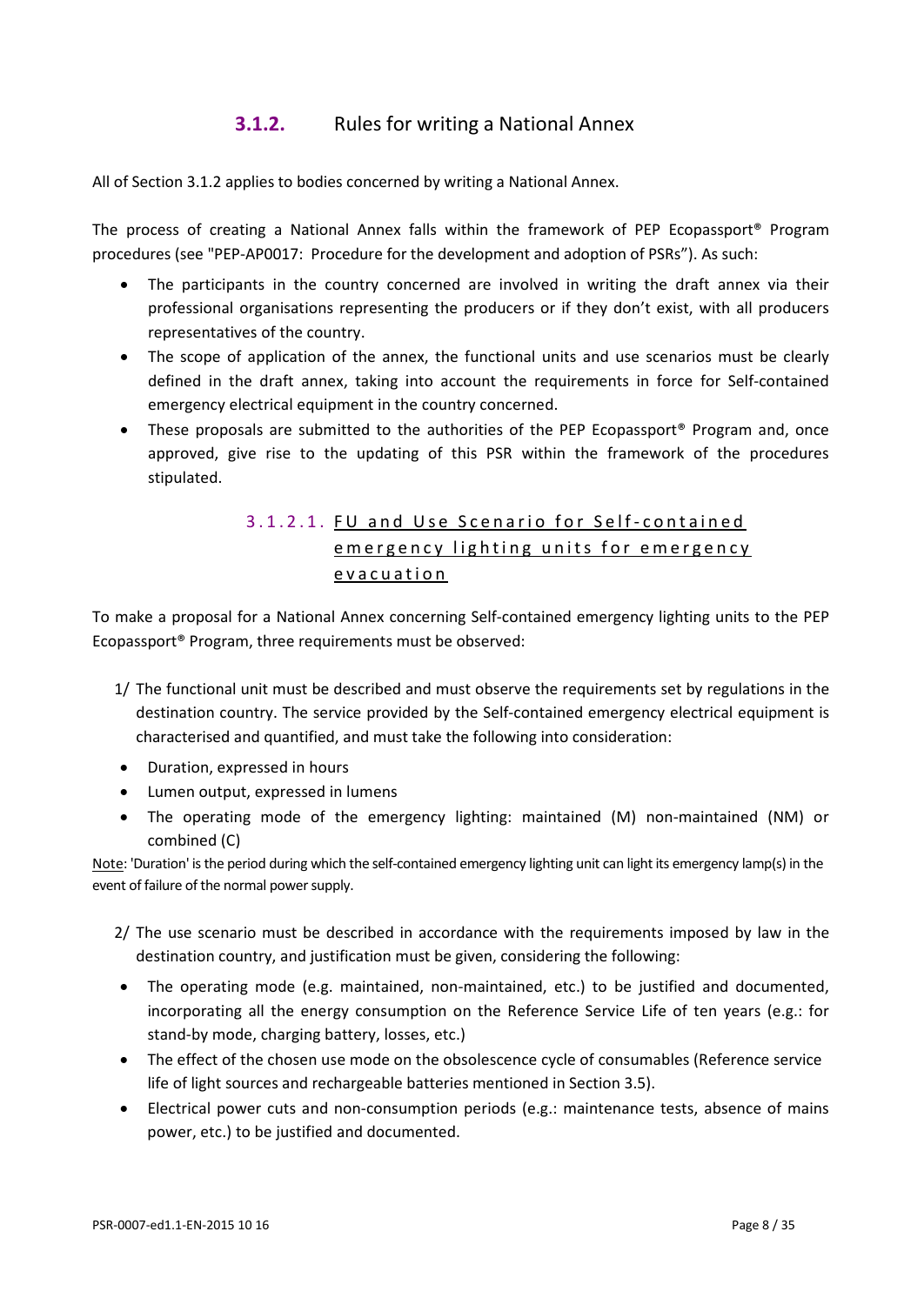## **3.1.2.** Rules for writing a National Annex

All of Section 3.1.2 applies to bodies concerned by writing a National Annex.

The process of creating a National Annex falls within the framework of PEP Ecopassport® Program procedures (see "PEP-AP0017: Procedure for the development and adoption of PSRs"). As such:

- The participants in the country concerned are involved in writing the draft annex via their professional organisations representing the producers or if they don't exist, with all producers representatives of the country.
- The scope of application of the annex, the functional units and use scenarios must be clearly defined in the draft annex, taking into account the requirements in force for Self-contained emergency electrical equipment in the country concerned.
- These proposals are submitted to the authorities of the PEP Ecopassport<sup>®</sup> Program and, once approved, give rise to the updating of this PSR within the framework of the procedures stipulated.

## 3.1.2.1. FU and Use Scenario for Self - contained emergency lighting units for emergency evacuation

To make a proposal for a National Annex concerning Self-contained emergency lighting units to the PEP Ecopassport® Program, three requirements must be observed:

- 1/ The functional unit must be described and must observe the requirements set by regulations in the destination country. The service provided by the Self-contained emergency electrical equipment is characterised and quantified, and must take the following into consideration:
- Duration, expressed in hours
- Lumen output, expressed in lumens
- The operating mode of the emergency lighting: maintained (M) non-maintained (NM) or combined (C)

Note: 'Duration' is the period during which the self-contained emergency lighting unit can light its emergency lamp(s) in the event of failure of the normal power supply.

- 2/ The use scenario must be described in accordance with the requirements imposed by law in the destination country, and justification must be given, considering the following:
- The operating mode (e.g. maintained, non-maintained, etc.) to be justified and documented, incorporating all the energy consumption on the Reference Service Life of ten years (e.g.: for stand-by mode, charging battery, losses, etc.)
- The effect of the chosen use mode on the obsolescence cycle of consumables (Reference service life of light sources and rechargeable batteries mentioned in Section 3.5).
- Electrical power cuts and non-consumption periods (e.g.: maintenance tests, absence of mains power, etc.) to be justified and documented.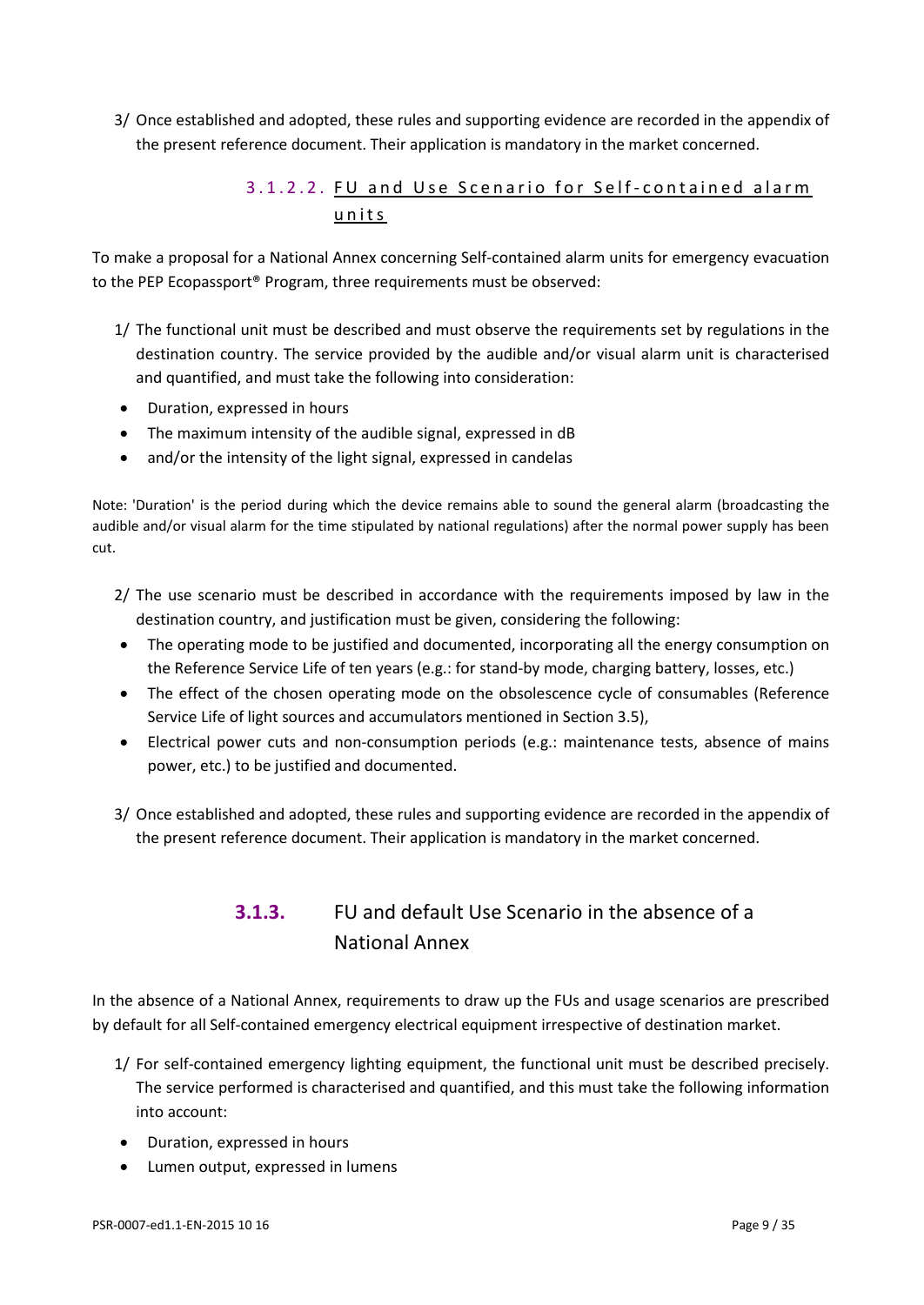3/ Once established and adopted, these rules and supporting evidence are recorded in the appendix of the present reference document. Their application is mandatory in the market concerned.

## 3.1.2.2. FU and Use Scenario for Self-contained alarm units

To make a proposal for a National Annex concerning Self-contained alarm units for emergency evacuation to the PEP Ecopassport® Program, three requirements must be observed:

- 1/ The functional unit must be described and must observe the requirements set by regulations in the destination country. The service provided by the audible and/or visual alarm unit is characterised and quantified, and must take the following into consideration:
- Duration, expressed in hours
- The maximum intensity of the audible signal, expressed in dB
- and/or the intensity of the light signal, expressed in candelas

Note: 'Duration' is the period during which the device remains able to sound the general alarm (broadcasting the audible and/or visual alarm for the time stipulated by national regulations) after the normal power supply has been cut.

- 2/ The use scenario must be described in accordance with the requirements imposed by law in the destination country, and justification must be given, considering the following:
- The operating mode to be justified and documented, incorporating all the energy consumption on the Reference Service Life of ten years (e.g.: for stand-by mode, charging battery, losses, etc.)
- The effect of the chosen operating mode on the obsolescence cycle of consumables (Reference Service Life of light sources and accumulators mentioned in Section 3.5),
- Electrical power cuts and non-consumption periods (e.g.: maintenance tests, absence of mains power, etc.) to be justified and documented.
- 3/ Once established and adopted, these rules and supporting evidence are recorded in the appendix of the present reference document. Their application is mandatory in the market concerned.

## **3.1.3.** FU and default Use Scenario in the absence of a National Annex

In the absence of a National Annex, requirements to draw up the FUs and usage scenarios are prescribed by default for all Self-contained emergency electrical equipment irrespective of destination market.

- 1/ For self-contained emergency lighting equipment, the functional unit must be described precisely. The service performed is characterised and quantified, and this must take the following information into account:
- Duration, expressed in hours
- Lumen output, expressed in lumens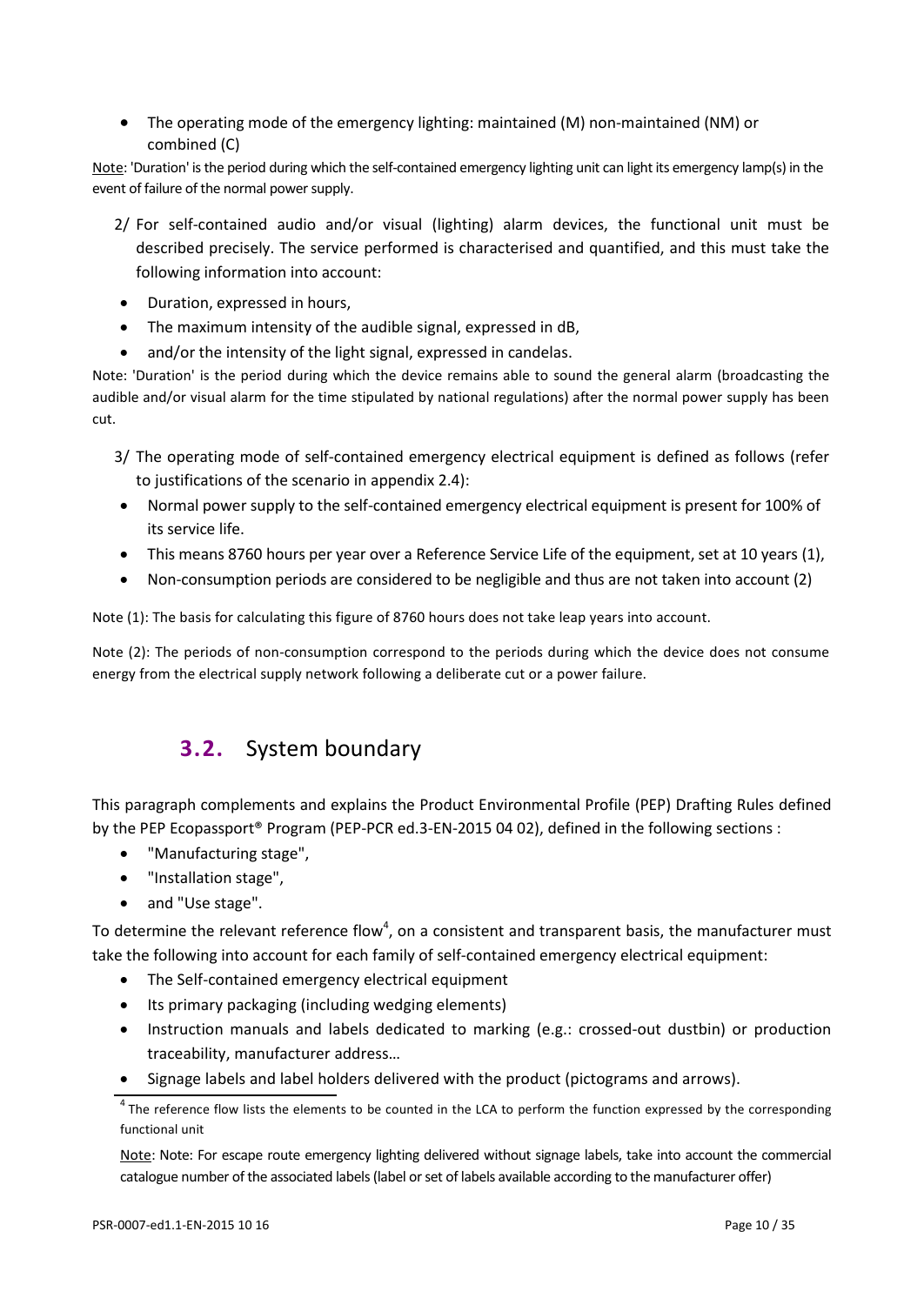• The operating mode of the emergency lighting: maintained (M) non-maintained (NM) or combined (C)

Note: 'Duration' is the period during which the self-contained emergency lighting unit can light its emergency lamp(s) in the event of failure of the normal power supply.

- 2/ For self-contained audio and/or visual (lighting) alarm devices, the functional unit must be described precisely. The service performed is characterised and quantified, and this must take the following information into account:
- Duration, expressed in hours,
- The maximum intensity of the audible signal, expressed in dB,
- and/or the intensity of the light signal, expressed in candelas.

Note: 'Duration' is the period during which the device remains able to sound the general alarm (broadcasting the audible and/or visual alarm for the time stipulated by national regulations) after the normal power supply has been cut.

- 3/ The operating mode of self-contained emergency electrical equipment is defined as follows (refer to justifications of the scenario in appendix 2.4):
- Normal power supply to the self-contained emergency electrical equipment is present for 100% of its service life.
- This means 8760 hours per year over a Reference Service Life of the equipment, set at 10 years (1),
- Non-consumption periods are considered to be negligible and thus are not taken into account (2)

Note (1): The basis for calculating this figure of 8760 hours does not take leap years into account.

<span id="page-9-0"></span>Note (2): The periods of non-consumption correspond to the periods during which the device does not consume energy from the electrical supply network following a deliberate cut or a power failure.

# **3.2.** System boundary

This paragraph complements and explains the Product Environmental Profile (PEP) Drafting Rules defined by the PEP Ecopassport® Program (PEP-PCR ed.3-EN-2015 04 02), defined in the following sections :

- "Manufacturing stage",
- "Installation stage",
- and "Use stage".

To determine the relevant reference flow<sup>4</sup>, on a consistent and transparent basis, the manufacturer must take the following into account for each family of self-contained emergency electrical equipment:

- The Self-contained emergency electrical equipment
- Its primary packaging (including wedging elements)
- Instruction manuals and labels dedicated to marking (e.g.: crossed-out dustbin) or production traceability, manufacturer address…
- Signage labels and label holders delivered with the product (pictograms and arrows).

Note: Note: For escape route emergency lighting delivered without signage labels, take into account the commercial catalogue number of the associated labels (label or set of labels available according to the manufacturer offer)

 $4$  The reference flow lists the elements to be counted in the LCA to perform the function expressed by the corresponding functional unit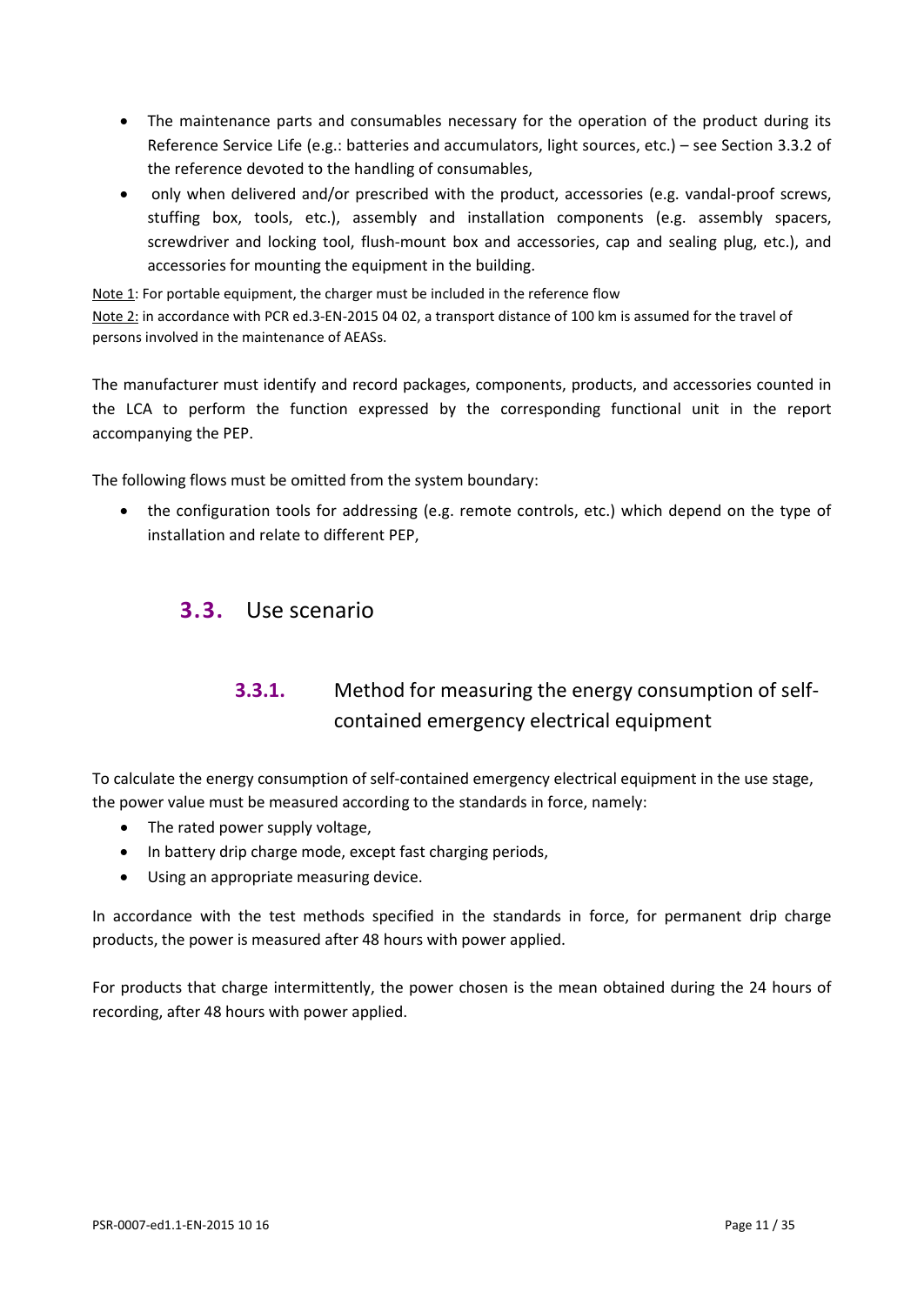- The maintenance parts and consumables necessary for the operation of the product during its Reference Service Life (e.g.: batteries and accumulators, light sources, etc.) – see Section 3.3.2 of the reference devoted to the handling of consumables,
- only when delivered and/or prescribed with the product, accessories (e.g. vandal-proof screws, stuffing box, tools, etc.), assembly and installation components (e.g. assembly spacers, screwdriver and locking tool, flush-mount box and accessories, cap and sealing plug, etc.), and accessories for mounting the equipment in the building.

Note 1: For portable equipment, the charger must be included in the reference flow Note 2: in accordance with PCR ed.3-EN-2015 04 02, a transport distance of 100 km is assumed for the travel of persons involved in the maintenance of AEASs.

The manufacturer must identify and record packages, components, products, and accessories counted in the LCA to perform the function expressed by the corresponding functional unit in the report accompanying the PEP.

The following flows must be omitted from the system boundary:

<span id="page-10-0"></span>• the configuration tools for addressing (e.g. remote controls, etc.) which depend on the type of installation and relate to different PEP,

## **3.3.** Use scenario

## **3.3.1.** Method for measuring the energy consumption of selfcontained emergency electrical equipment

To calculate the energy consumption of self-contained emergency electrical equipment in the use stage, the power value must be measured according to the standards in force, namely:

- The rated power supply voltage,
- In battery drip charge mode, except fast charging periods,
- Using an appropriate measuring device.

In accordance with the test methods specified in the standards in force, for permanent drip charge products, the power is measured after 48 hours with power applied.

For products that charge intermittently, the power chosen is the mean obtained during the 24 hours of recording, after 48 hours with power applied.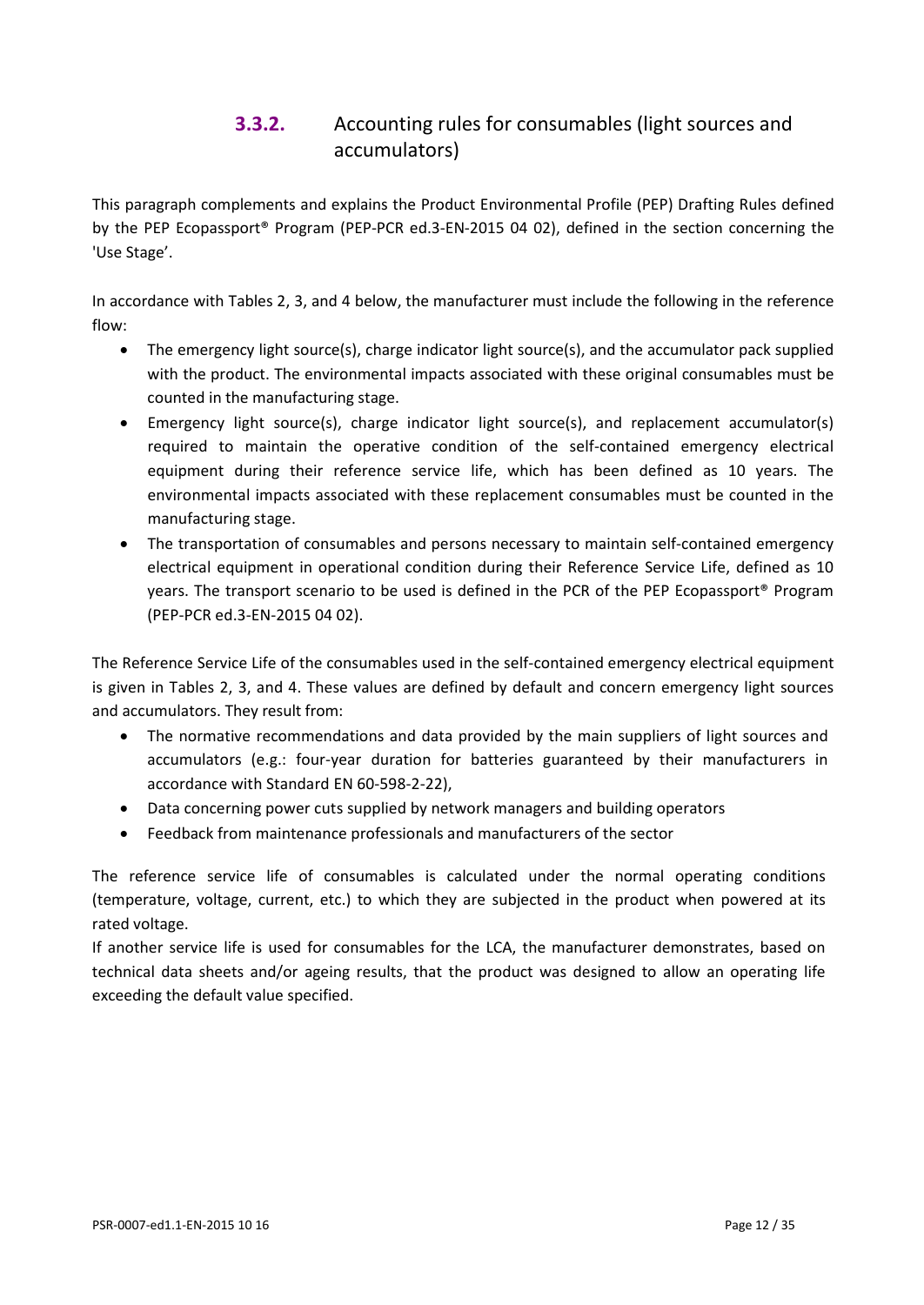## **3.3.2.** Accounting rules for consumables (light sources and accumulators)

This paragraph complements and explains the Product Environmental Profile (PEP) Drafting Rules defined by the PEP Ecopassport® Program (PEP-PCR ed.3-EN-2015 04 02), defined in the section concerning the 'Use Stage'.

In accordance with Tables 2, 3, and 4 below, the manufacturer must include the following in the reference flow:

- The emergency light source(s), charge indicator light source(s), and the accumulator pack supplied with the product. The environmental impacts associated with these original consumables must be counted in the manufacturing stage.
- Emergency light source(s), charge indicator light source(s), and replacement accumulator(s) required to maintain the operative condition of the self-contained emergency electrical equipment during their reference service life, which has been defined as 10 years. The environmental impacts associated with these replacement consumables must be counted in the manufacturing stage.
- The transportation of consumables and persons necessary to maintain self-contained emergency electrical equipment in operational condition during their Reference Service Life, defined as 10 years. The transport scenario to be used is defined in the PCR of the PEP Ecopassport® Program (PEP-PCR ed.3-EN-2015 04 02).

The Reference Service Life of the consumables used in the self-contained emergency electrical equipment is given in Tables 2, 3, and 4. These values are defined by default and concern emergency light sources and accumulators. They result from:

- The normative recommendations and data provided by the main suppliers of light sources and accumulators (e.g.: four-year duration for batteries guaranteed by their manufacturers in accordance with Standard EN 60-598-2-22),
- Data concerning power cuts supplied by network managers and building operators
- Feedback from maintenance professionals and manufacturers of the sector

The reference service life of consumables is calculated under the normal operating conditions (temperature, voltage, current, etc.) to which they are subjected in the product when powered at its rated voltage.

If another service life is used for consumables for the LCA, the manufacturer demonstrates, based on technical data sheets and/or ageing results, that the product was designed to allow an operating life exceeding the default value specified.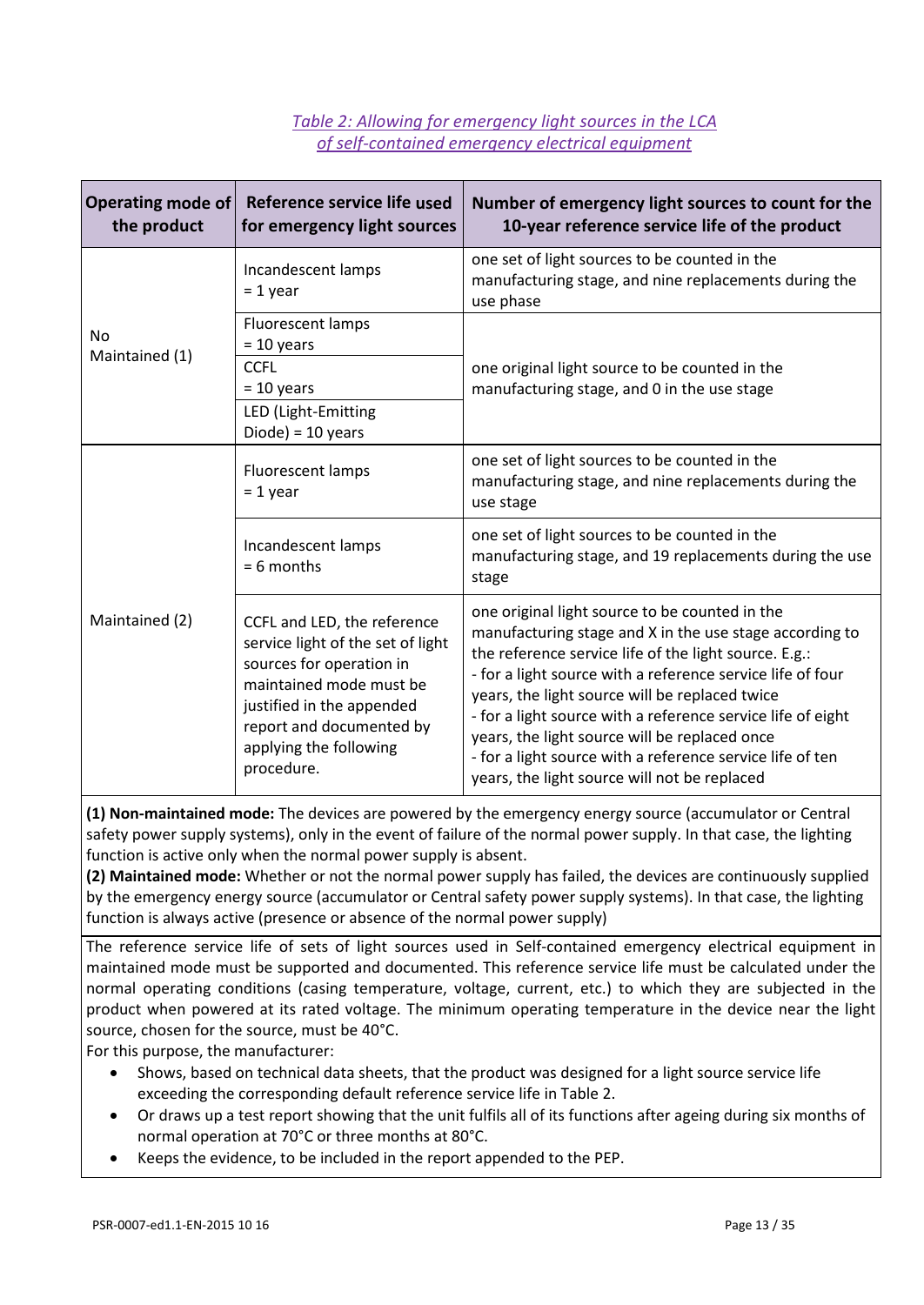#### *Table 2: Allowing for emergency light sources in the LCA of self-contained emergency electrical equipment*

| Operating mode of<br>the product | Reference service life used<br>for emergency light sources                                                                                                                                                               | Number of emergency light sources to count for the<br>10-year reference service life of the product                                                                                                                                                                                                                                                                                                                                                                                                             |
|----------------------------------|--------------------------------------------------------------------------------------------------------------------------------------------------------------------------------------------------------------------------|-----------------------------------------------------------------------------------------------------------------------------------------------------------------------------------------------------------------------------------------------------------------------------------------------------------------------------------------------------------------------------------------------------------------------------------------------------------------------------------------------------------------|
|                                  | Incandescent lamps<br>$= 1$ year                                                                                                                                                                                         | one set of light sources to be counted in the<br>manufacturing stage, and nine replacements during the<br>use phase                                                                                                                                                                                                                                                                                                                                                                                             |
| N <sub>o</sub><br>Maintained (1) | Fluorescent lamps<br>$= 10$ years                                                                                                                                                                                        |                                                                                                                                                                                                                                                                                                                                                                                                                                                                                                                 |
|                                  | <b>CCFL</b><br>$= 10$ years<br>LED (Light-Emitting<br>$Diode) = 10 years$                                                                                                                                                | one original light source to be counted in the<br>manufacturing stage, and 0 in the use stage                                                                                                                                                                                                                                                                                                                                                                                                                   |
|                                  | Fluorescent lamps<br>$= 1$ year                                                                                                                                                                                          | one set of light sources to be counted in the<br>manufacturing stage, and nine replacements during the<br>use stage                                                                                                                                                                                                                                                                                                                                                                                             |
|                                  | Incandescent lamps<br>$= 6$ months                                                                                                                                                                                       | one set of light sources to be counted in the<br>manufacturing stage, and 19 replacements during the use<br>stage                                                                                                                                                                                                                                                                                                                                                                                               |
| Maintained (2)                   | CCFL and LED, the reference<br>service light of the set of light<br>sources for operation in<br>maintained mode must be<br>justified in the appended<br>report and documented by<br>applying the following<br>procedure. | one original light source to be counted in the<br>manufacturing stage and X in the use stage according to<br>the reference service life of the light source. E.g.:<br>- for a light source with a reference service life of four<br>years, the light source will be replaced twice<br>- for a light source with a reference service life of eight<br>years, the light source will be replaced once<br>- for a light source with a reference service life of ten<br>years, the light source will not be replaced |

**(1) Non-maintained mode:** The devices are powered by the emergency energy source (accumulator or Central safety power supply systems), only in the event of failure of the normal power supply. In that case, the lighting function is active only when the normal power supply is absent.

**(2) Maintained mode:** Whether or not the normal power supply has failed, the devices are continuously supplied by the emergency energy source (accumulator or Central safety power supply systems). In that case, the lighting function is always active (presence or absence of the normal power supply)

The reference service life of sets of light sources used in Self-contained emergency electrical equipment in maintained mode must be supported and documented. This reference service life must be calculated under the normal operating conditions (casing temperature, voltage, current, etc.) to which they are subjected in the product when powered at its rated voltage. The minimum operating temperature in the device near the light source, chosen for the source, must be 40°C.

For this purpose, the manufacturer:

- Shows, based on technical data sheets, that the product was designed for a light source service life exceeding the corresponding default reference service life in Table 2.
- Or draws up a test report showing that the unit fulfils all of its functions after ageing during six months of normal operation at 70°C or three months at 80°C.
- Keeps the evidence, to be included in the report appended to the PEP.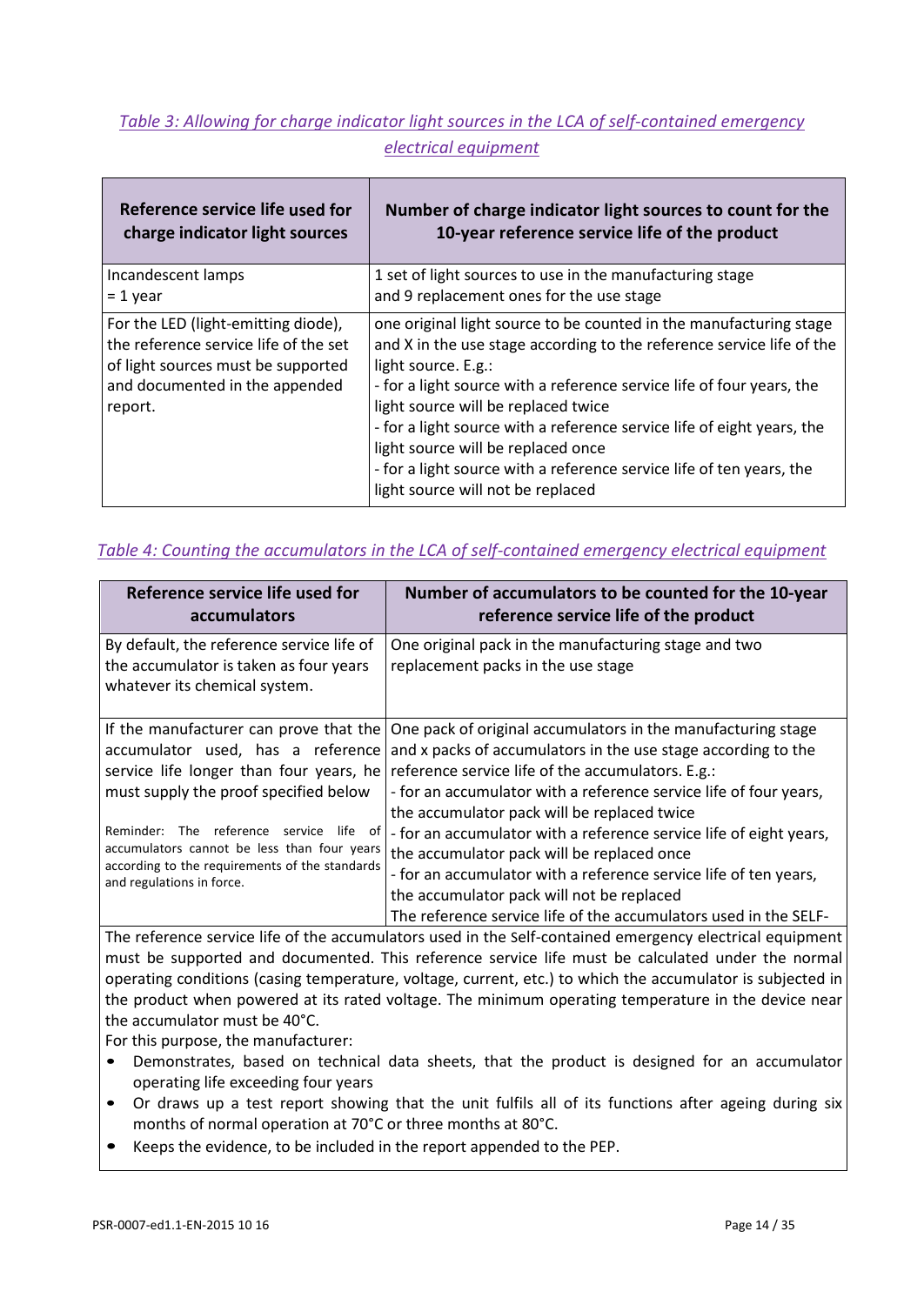### *Table 3: Allowing for charge indicator light sources in the LCA of self-contained emergency electrical equipment*

| Reference service life used for                                                                                                                                 | Number of charge indicator light sources to count for the                                                                                                                                                                                                                                                                                                                                                                                                                                                       |
|-----------------------------------------------------------------------------------------------------------------------------------------------------------------|-----------------------------------------------------------------------------------------------------------------------------------------------------------------------------------------------------------------------------------------------------------------------------------------------------------------------------------------------------------------------------------------------------------------------------------------------------------------------------------------------------------------|
| charge indicator light sources                                                                                                                                  | 10-year reference service life of the product                                                                                                                                                                                                                                                                                                                                                                                                                                                                   |
| Incandescent lamps                                                                                                                                              | 1 set of light sources to use in the manufacturing stage                                                                                                                                                                                                                                                                                                                                                                                                                                                        |
| $= 1$ year                                                                                                                                                      | and 9 replacement ones for the use stage                                                                                                                                                                                                                                                                                                                                                                                                                                                                        |
| For the LED (light-emitting diode),<br>the reference service life of the set<br>of light sources must be supported<br>and documented in the appended<br>report. | one original light source to be counted in the manufacturing stage<br>and X in the use stage according to the reference service life of the<br>light source. E.g.:<br>- for a light source with a reference service life of four years, the<br>light source will be replaced twice<br>- for a light source with a reference service life of eight years, the<br>light source will be replaced once<br>- for a light source with a reference service life of ten years, the<br>light source will not be replaced |

#### *Table 4: Counting the accumulators in the LCA of self-contained emergency electrical equipment*

| Reference service life used for<br>accumulators                                                                                                                             | Number of accumulators to be counted for the 10-year<br>reference service life of the product                                                                                                                                                                                                          |
|-----------------------------------------------------------------------------------------------------------------------------------------------------------------------------|--------------------------------------------------------------------------------------------------------------------------------------------------------------------------------------------------------------------------------------------------------------------------------------------------------|
| By default, the reference service life of<br>the accumulator is taken as four years<br>whatever its chemical system.                                                        | One original pack in the manufacturing stage and two<br>replacement packs in the use stage                                                                                                                                                                                                             |
| If the manufacturer can prove that the<br>accumulator used, has a reference<br>service life longer than four years, he<br>must supply the proof specified below             | One pack of original accumulators in the manufacturing stage<br>and x packs of accumulators in the use stage according to the<br>reference service life of the accumulators. E.g.:<br>- for an accumulator with a reference service life of four years,<br>the accumulator pack will be replaced twice |
| The reference service life<br>Reminder:<br>of<br>accumulators cannot be less than four years<br>according to the requirements of the standards<br>and regulations in force. | - for an accumulator with a reference service life of eight years,<br>the accumulator pack will be replaced once<br>- for an accumulator with a reference service life of ten years,<br>the accumulator pack will not be replaced<br>The reference service life of the accumulators used in the SELF-  |

The reference service life of the accumulators used in the Self-contained emergency electrical equipment must be supported and documented. This reference service life must be calculated under the normal operating conditions (casing temperature, voltage, current, etc.) to which the accumulator is subjected in the product when powered at its rated voltage. The minimum operating temperature in the device near the accumulator must be 40°C.

For this purpose, the manufacturer:

- Demonstrates, based on technical data sheets, that the product is designed for an accumulator operating life exceeding four years
- Or draws up a test report showing that the unit fulfils all of its functions after ageing during six months of normal operation at 70°C or three months at 80°C.
- Keeps the evidence, to be included in the report appended to the PEP.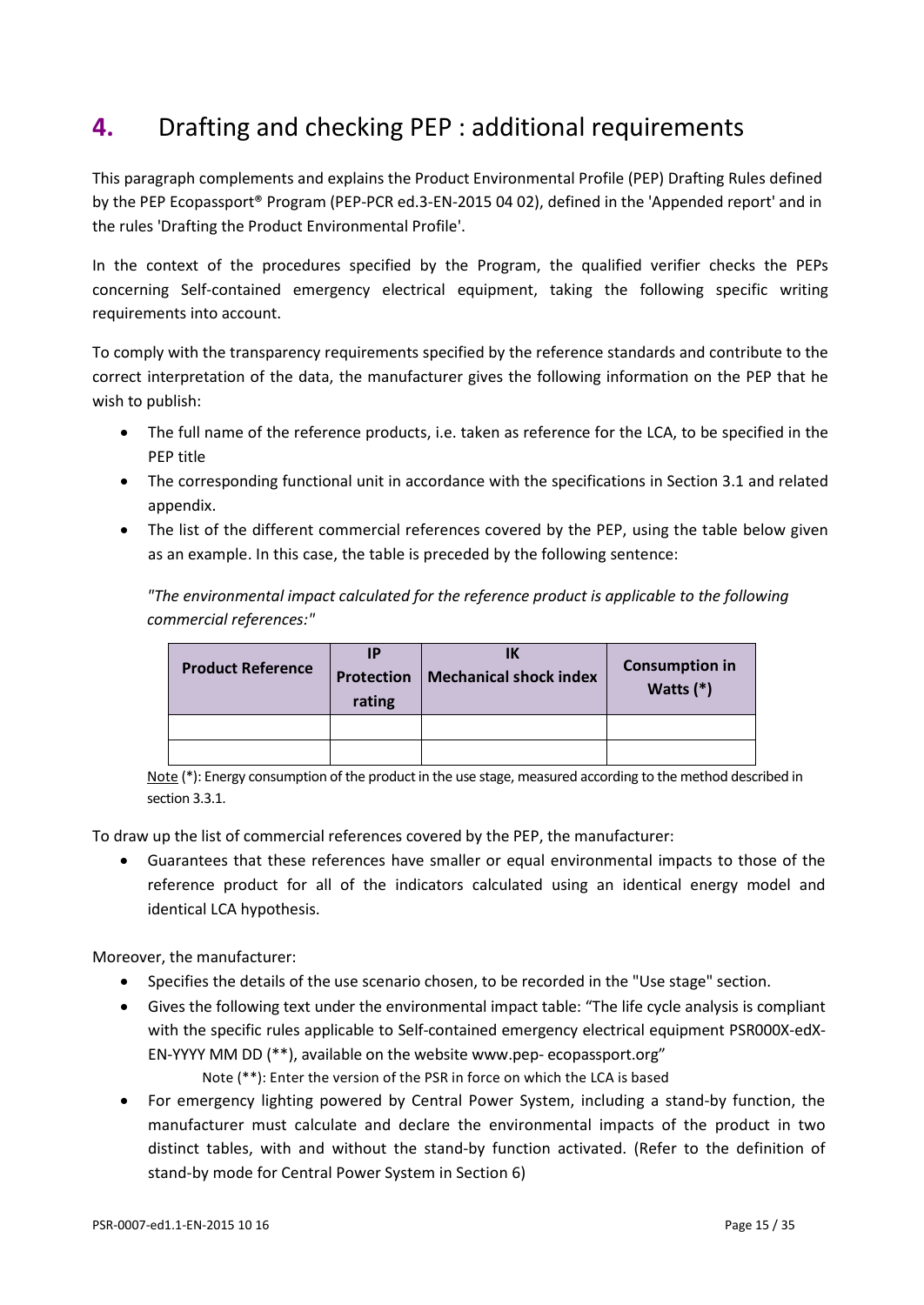# <span id="page-14-0"></span>**4.** Drafting and checking PEP : additional requirements

This paragraph complements and explains the Product Environmental Profile (PEP) Drafting Rules defined by the PEP Ecopassport® Program (PEP-PCR ed.3-EN-2015 04 02), defined in the 'Appended report' and in the rules 'Drafting the Product Environmental Profile'.

In the context of the procedures specified by the Program, the qualified verifier checks the PEPs concerning Self-contained emergency electrical equipment, taking the following specific writing requirements into account.

To comply with the transparency requirements specified by the reference standards and contribute to the correct interpretation of the data, the manufacturer gives the following information on the PEP that he wish to publish:

- The full name of the reference products, i.e. taken as reference for the LCA, to be specified in the PEP title
- The corresponding functional unit in accordance with the specifications in Section 3.1 and related appendix.
- The list of the different commercial references covered by the PEP, using the table below given as an example. In this case, the table is preceded by the following sentence:

*"The environmental impact calculated for the reference product is applicable to the following commercial references:"*

| <b>Product Reference</b> | IP<br>rating | IΚ<br><b>Protection   Mechanical shock index</b> | <b>Consumption in</b><br>Watts $(*)$ |
|--------------------------|--------------|--------------------------------------------------|--------------------------------------|
|                          |              |                                                  |                                      |
|                          |              |                                                  |                                      |

Note (\*): Energy consumption of the product in the use stage, measured according to the method described in section 3.3.1.

To draw up the list of commercial references covered by the PEP, the manufacturer:

• Guarantees that these references have smaller or equal environmental impacts to those of the reference product for all of the indicators calculated using an identical energy model and identical LCA hypothesis.

Moreover, the manufacturer:

- Specifies the details of the use scenario chosen, to be recorded in the "Use stage" section.
- Gives the following text under the environmental impact table: "The life cycle analysis is compliant with the specific rules applicable to Self-contained emergency electrical equipment PSR000X-edX-EN-YYYY MM DD (\*\*), available on the website [www.pep-](http://www.pep-ecopassport.org/) [ecopassport.org"](http://www.pep-ecopassport.org/)

Note (\*\*): Enter the version of the PSR in force on which the LCA is based

• For emergency lighting powered by Central Power System, including a stand-by function, the manufacturer must calculate and declare the environmental impacts of the product in two distinct tables, with and without the stand-by function activated. (Refer to the definition of stand-by mode for Central Power System in Section 6)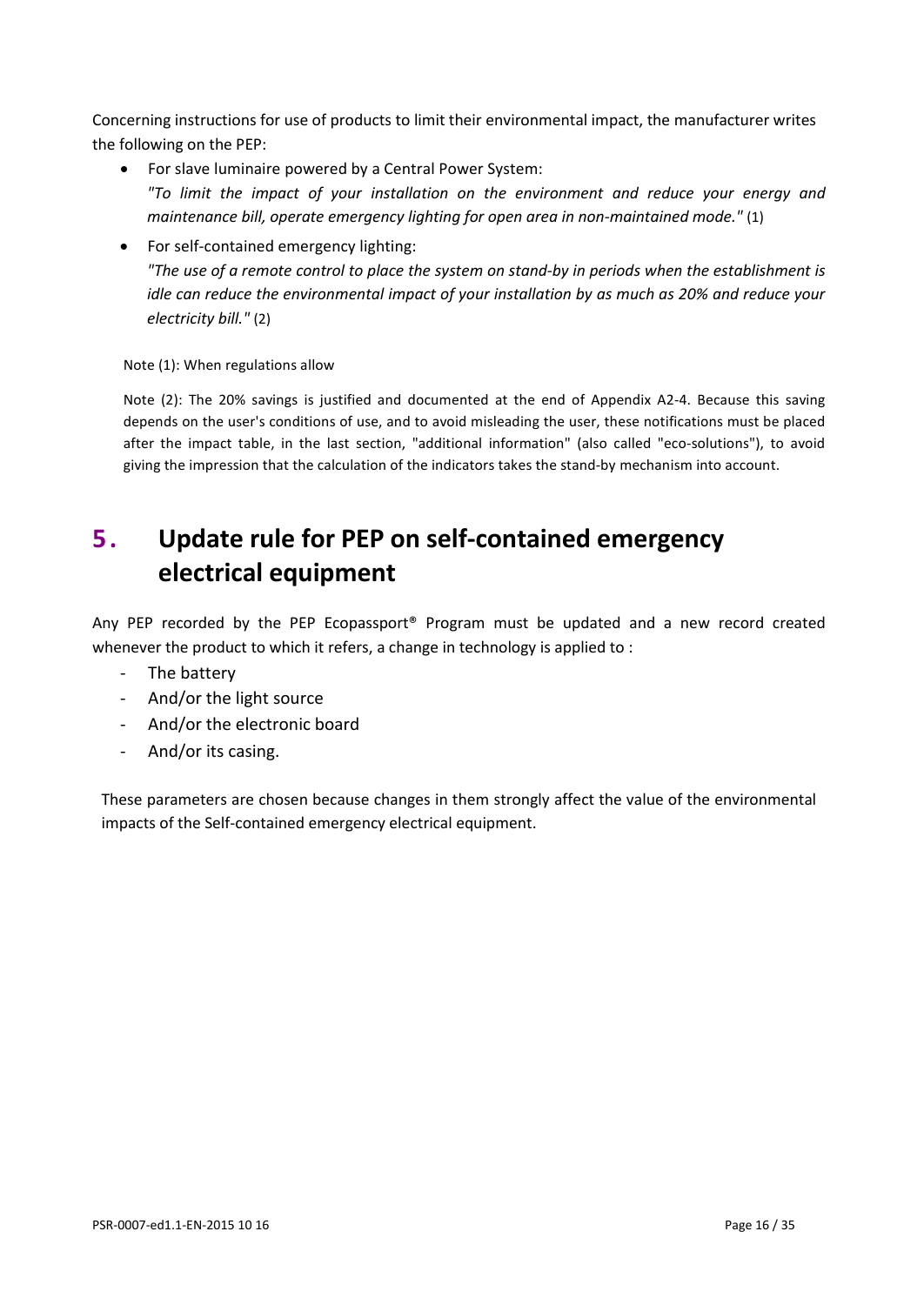Concerning instructions for use of products to limit their environmental impact, the manufacturer writes the following on the PEP:

- For slave luminaire powered by a Central Power System: *"To limit the impact of your installation on the environment and reduce your energy and maintenance bill, operate emergency lighting for open area in non-maintained mode."* (1)
- For self-contained emergency lighting: *"The use of a remote control to place the system on stand-by in periods when the establishment is idle can reduce the environmental impact of your installation by as much as 20% and reduce your electricity bill."* (2)

Note (1): When regulations allow

Note (2): The 20% savings is justified and documented at the end of Appendix A2-4. Because this saving depends on the user's conditions of use, and to avoid misleading the user, these notifications must be placed after the impact table, in the last section, "additional information" (also called "eco-solutions"), to avoid giving the impression that the calculation of the indicators takes the stand-by mechanism into account.

# <span id="page-15-0"></span>**5 . Update rule for PEP on self-contained emergency electrical equipment**

Any PEP recorded by the PEP Ecopassport® Program must be updated and a new record created whenever the product to which it refers, a change in technology is applied to :

- The battery
- And/or the light source
- And/or the electronic board
- And/or its casing.

These parameters are chosen because changes in them strongly affect the value of the environmental impacts of the Self-contained emergency electrical equipment.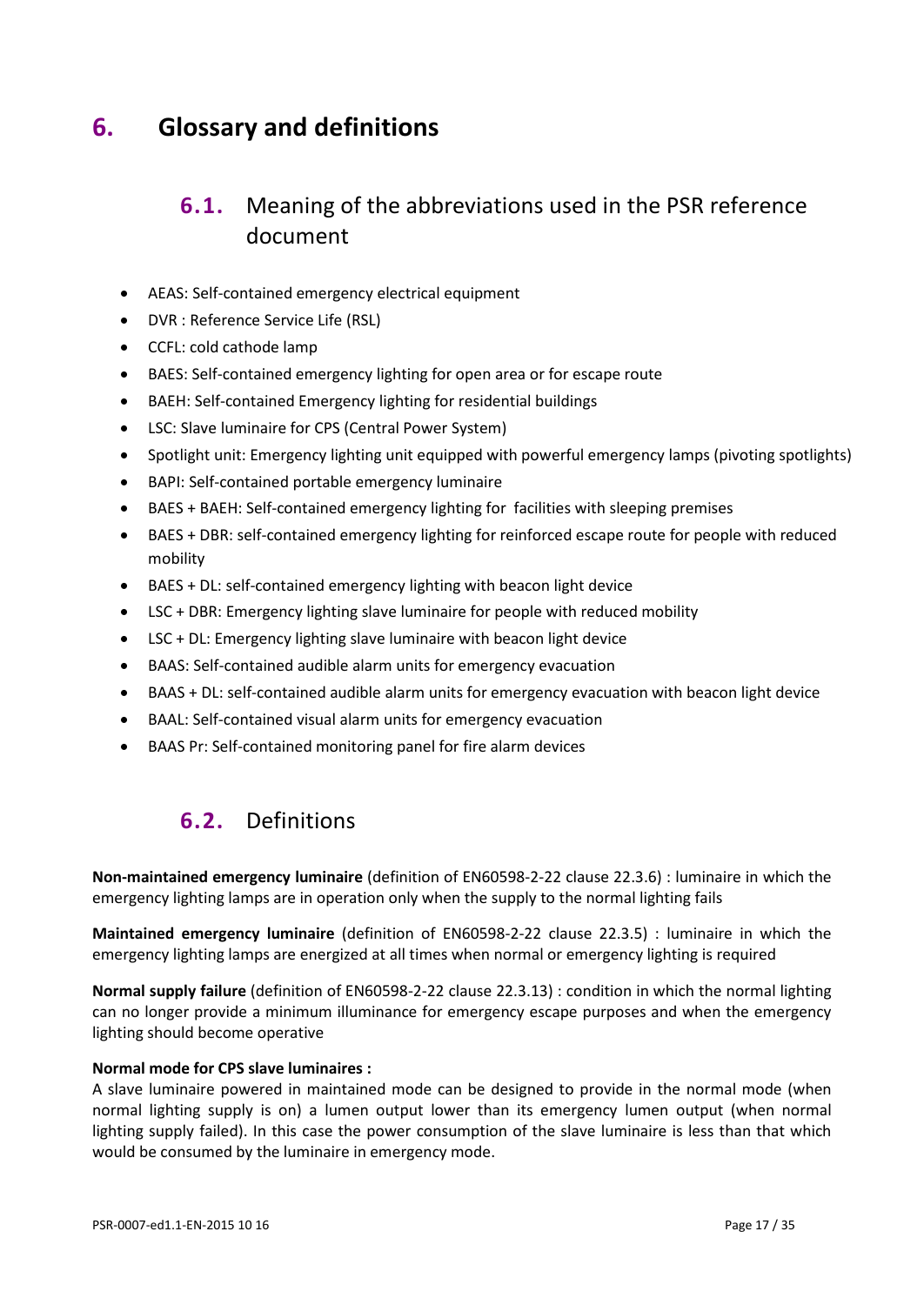# <span id="page-16-1"></span><span id="page-16-0"></span>**6. Glossary and definitions**

## **6.1.** Meaning of the abbreviations used in the PSR reference document

- AEAS: Self-contained emergency electrical equipment
- DVR : Reference Service Life (RSL)
- CCFL: cold cathode lamp
- BAES: Self-contained emergency lighting for open area or for escape route
- BAEH: Self-contained Emergency lighting for residential buildings
- LSC: Slave luminaire for CPS (Central Power System)
- Spotlight unit: Emergency lighting unit equipped with powerful emergency lamps (pivoting spotlights)
- BAPI: Self-contained portable emergency luminaire
- BAES + BAEH: Self-contained emergency lighting for facilities with sleeping premises
- BAES + DBR: self-contained emergency lighting for reinforced escape route for people with reduced mobility
- BAES + DL: self-contained emergency lighting with beacon light device
- LSC + DBR: Emergency lighting slave luminaire for people with reduced mobility
- LSC + DL: Emergency lighting slave luminaire with beacon light device
- BAAS: Self-contained audible alarm units for emergency evacuation
- BAAS + DL: self-contained audible alarm units for emergency evacuation with beacon light device
- BAAL: Self-contained visual alarm units for emergency evacuation
- <span id="page-16-2"></span>• BAAS Pr: Self-contained monitoring panel for fire alarm devices

## **6.2.** Definitions

**Non-maintained emergency luminaire** (definition of EN60598-2-22 clause 22.3.6) : luminaire in which the emergency lighting lamps are in operation only when the supply to the normal lighting fails

**Maintained emergency luminaire** (definition of EN60598-2-22 clause 22.3.5) : luminaire in which the emergency lighting lamps are energized at all times when normal or emergency lighting is required

**Normal supply failure** (definition of EN60598-2-22 clause 22.3.13) : condition in which the normal lighting can no longer provide a minimum illuminance for emergency escape purposes and when the emergency lighting should become operative

#### **Normal mode for CPS slave luminaires :**

A slave luminaire powered in maintained mode can be designed to provide in the normal mode (when normal lighting supply is on) a lumen output lower than its emergency lumen output (when normal lighting supply failed). In this case the power consumption of the slave luminaire is less than that which would be consumed by the luminaire in emergency mode.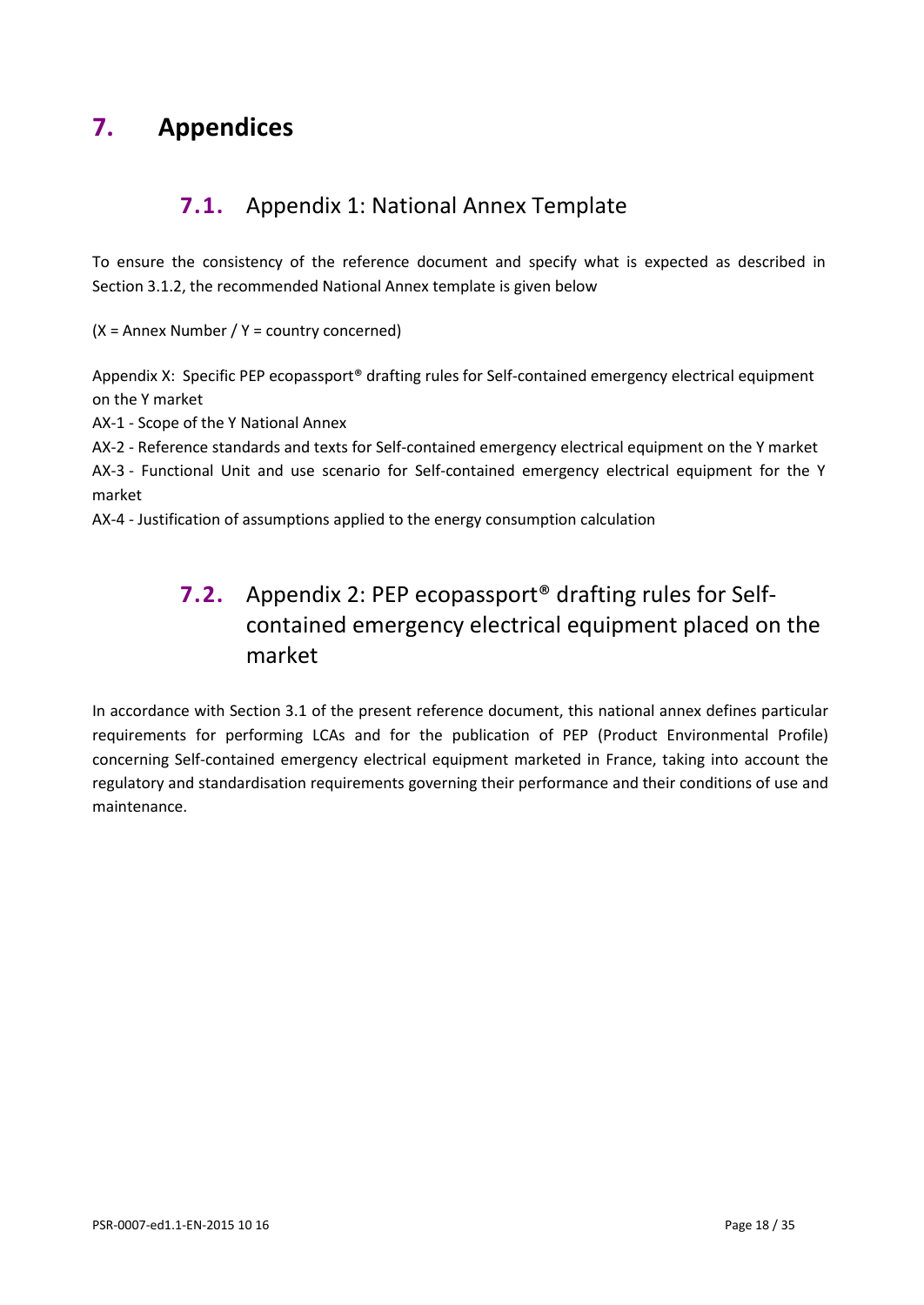# <span id="page-17-1"></span><span id="page-17-0"></span>**7. Appendices**

## **7.1.** Appendix 1: National Annex Template

To ensure the consistency of the reference document and specify what is expected as described in Section 3.1.2, the recommended National Annex template is given below

 $(X =$  Annex Number /  $Y =$  country concerned)

Appendix X: Specific PEP ecopassport® drafting rules for Self-contained emergency electrical equipment on the Y market

AX-1 - Scope of the Y National Annex

AX-2 - Reference standards and texts for Self-contained emergency electrical equipment on the Y market

AX-3 - Functional Unit and use scenario for Self-contained emergency electrical equipment for the Y market

AX-4 - Justification of assumptions applied to the energy consumption calculation

# **7.2.** Appendix 2: PEP ecopassport® drafting rules for Selfcontained emergency electrical equipment placed on the market

In accordance with Section 3.1 of the present reference document, this national annex defines particular requirements for performing LCAs and for the publication of PEP (Product Environmental Profile) concerning Self-contained emergency electrical equipment marketed in France, taking into account the regulatory and standardisation requirements governing their performance and their conditions of use and maintenance.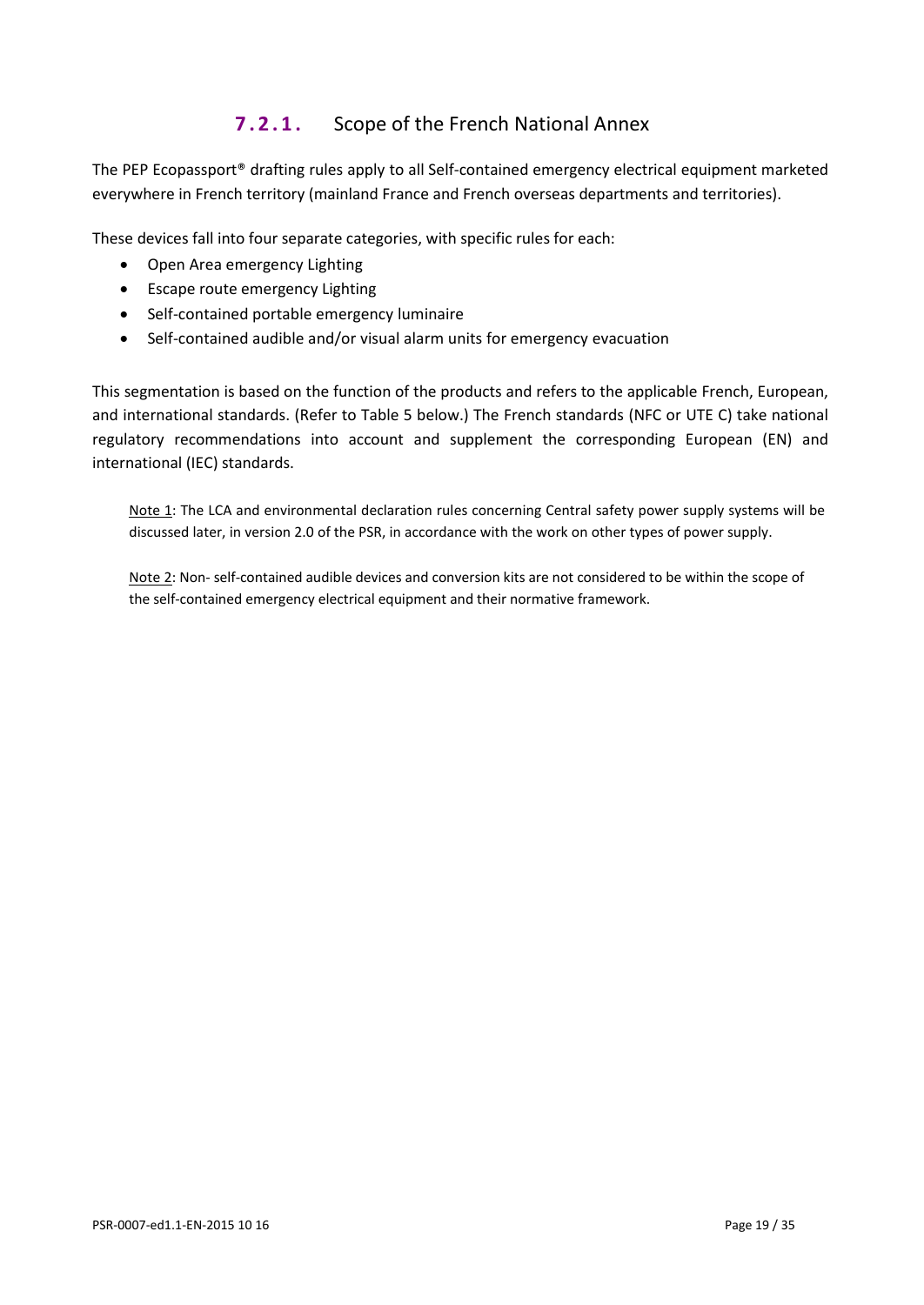## **7.2.1.** Scope of the French National Annex

The PEP Ecopassport® drafting rules apply to all Self-contained emergency electrical equipment marketed everywhere in French territory (mainland France and French overseas departments and territories).

These devices fall into four separate categories, with specific rules for each:

- Open Area emergency Lighting
- Escape route emergency Lighting
- Self-contained portable emergency luminaire
- Self-contained audible and/or visual alarm units for emergency evacuation

This segmentation is based on the function of the products and refers to the applicable French, European, and international standards. (Refer to Table 5 below.) The French standards (NFC or UTE C) take national regulatory recommendations into account and supplement the corresponding European (EN) and international (IEC) standards.

Note 1: The LCA and environmental declaration rules concerning Central safety power supply systems will be discussed later, in version 2.0 of the PSR, in accordance with the work on other types of power supply.

Note 2: Non- self-contained audible devices and conversion kits are not considered to be within the scope of the self-contained emergency electrical equipment and their normative framework.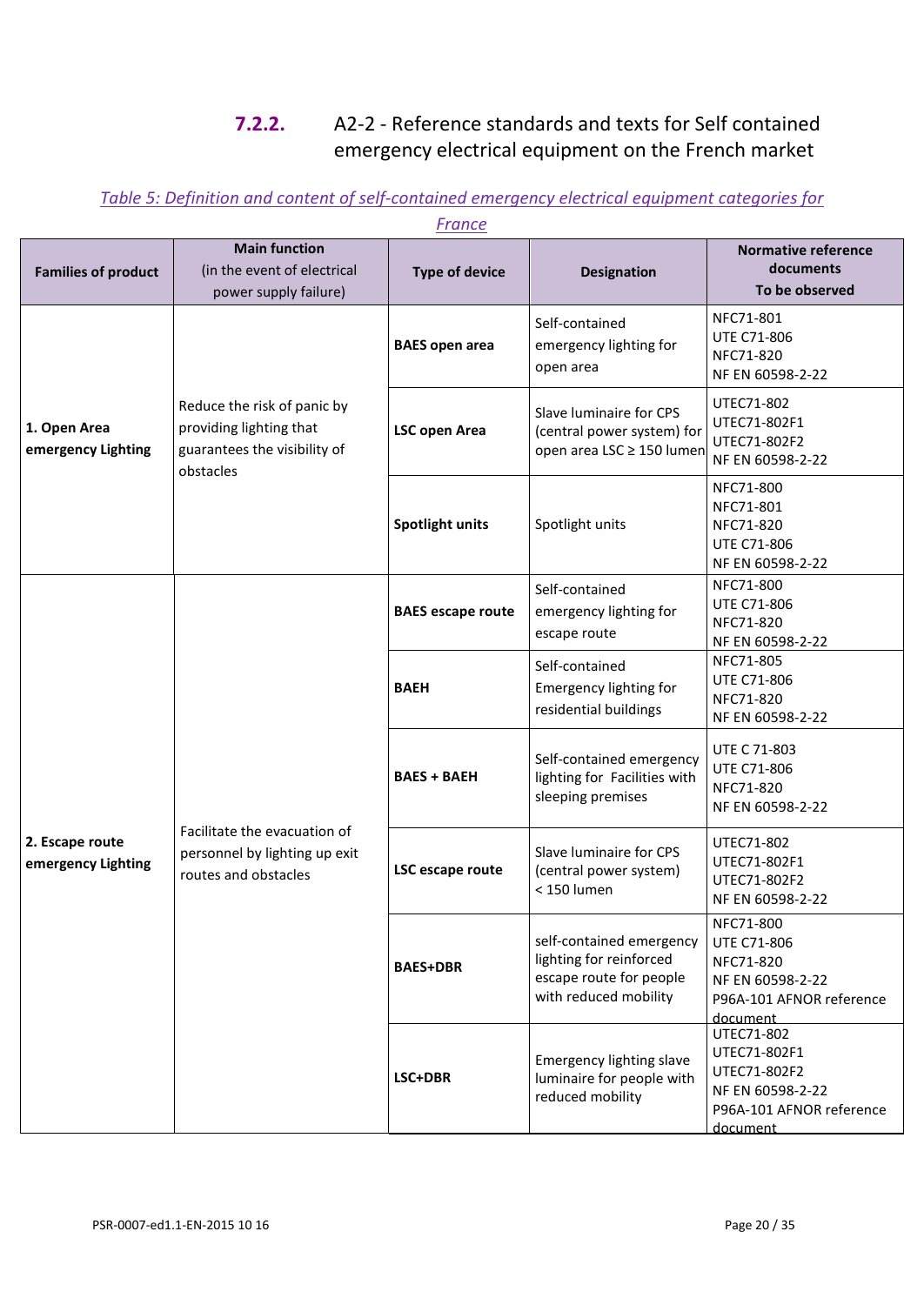## **7.2.2.** A2-2 - Reference standards and texts for Self contained emergency electrical equipment on the French market

### *Table 5: Definition and content of self-contained emergency electrical equipment categories for*

|                                       |                                                                                                     | <u></u>                  |                                                                                                         |                                                                                                          |
|---------------------------------------|-----------------------------------------------------------------------------------------------------|--------------------------|---------------------------------------------------------------------------------------------------------|----------------------------------------------------------------------------------------------------------|
| <b>Families of product</b>            | <b>Main function</b><br>(in the event of electrical<br>power supply failure)                        | <b>Type of device</b>    | <b>Designation</b>                                                                                      | <b>Normative reference</b><br>documents<br>To be observed                                                |
|                                       |                                                                                                     | <b>BAES</b> open area    | Self-contained<br>emergency lighting for<br>open area                                                   | NFC71-801<br><b>UTE C71-806</b><br>NFC71-820<br>NF EN 60598-2-22                                         |
| 1. Open Area<br>emergency Lighting    | Reduce the risk of panic by<br>providing lighting that<br>guarantees the visibility of<br>obstacles | <b>LSC open Area</b>     | Slave luminaire for CPS<br>(central power system) for<br>open area LSC ≥ 150 lumen                      | UTEC71-802<br>UTEC71-802F1<br>UTEC71-802F2<br>NF EN 60598-2-22                                           |
|                                       |                                                                                                     | Spotlight units          | Spotlight units                                                                                         | NFC71-800<br>NFC71-801<br>NFC71-820<br><b>UTE C71-806</b><br>NF EN 60598-2-22                            |
|                                       | Facilitate the evacuation of<br>personnel by lighting up exit<br>routes and obstacles               | <b>BAES</b> escape route | Self-contained<br>emergency lighting for<br>escape route                                                | NFC71-800<br><b>UTE C71-806</b><br>NFC71-820<br>NF EN 60598-2-22                                         |
|                                       |                                                                                                     | <b>BAEH</b>              | Self-contained<br>Emergency lighting for<br>residential buildings                                       | NFC71-805<br><b>UTE C71-806</b><br>NFC71-820<br>NF EN 60598-2-22                                         |
|                                       |                                                                                                     | <b>BAES + BAEH</b>       | Self-contained emergency<br>lighting for Facilities with<br>sleeping premises                           | <b>UTE C 71-803</b><br><b>UTE C71-806</b><br>NFC71-820<br>NF EN 60598-2-22                               |
| 2. Escape route<br>emergency Lighting |                                                                                                     | LSC escape route         | Slave luminaire for CPS<br>(central power system)<br>< 150 lumen                                        | UTEC71-802<br>UTEC71-802F1<br>UTEC71-802F2<br>NF EN 60598-2-22                                           |
|                                       |                                                                                                     | <b>BAES+DBR</b>          | self-contained emergency<br>lighting for reinforced<br>escape route for people<br>with reduced mobility | NFC71-800<br><b>UTE C71-806</b><br>NFC71-820<br>NF EN 60598-2-22<br>P96A-101 AFNOR reference<br>document |
|                                       |                                                                                                     | LSC+DBR                  | Emergency lighting slave<br>luminaire for people with<br>reduced mobility                               | UTEC71-802<br>UTEC71-802F1<br>UTEC71-802F2<br>NF EN 60598-2-22<br>P96A-101 AFNOR reference<br>document   |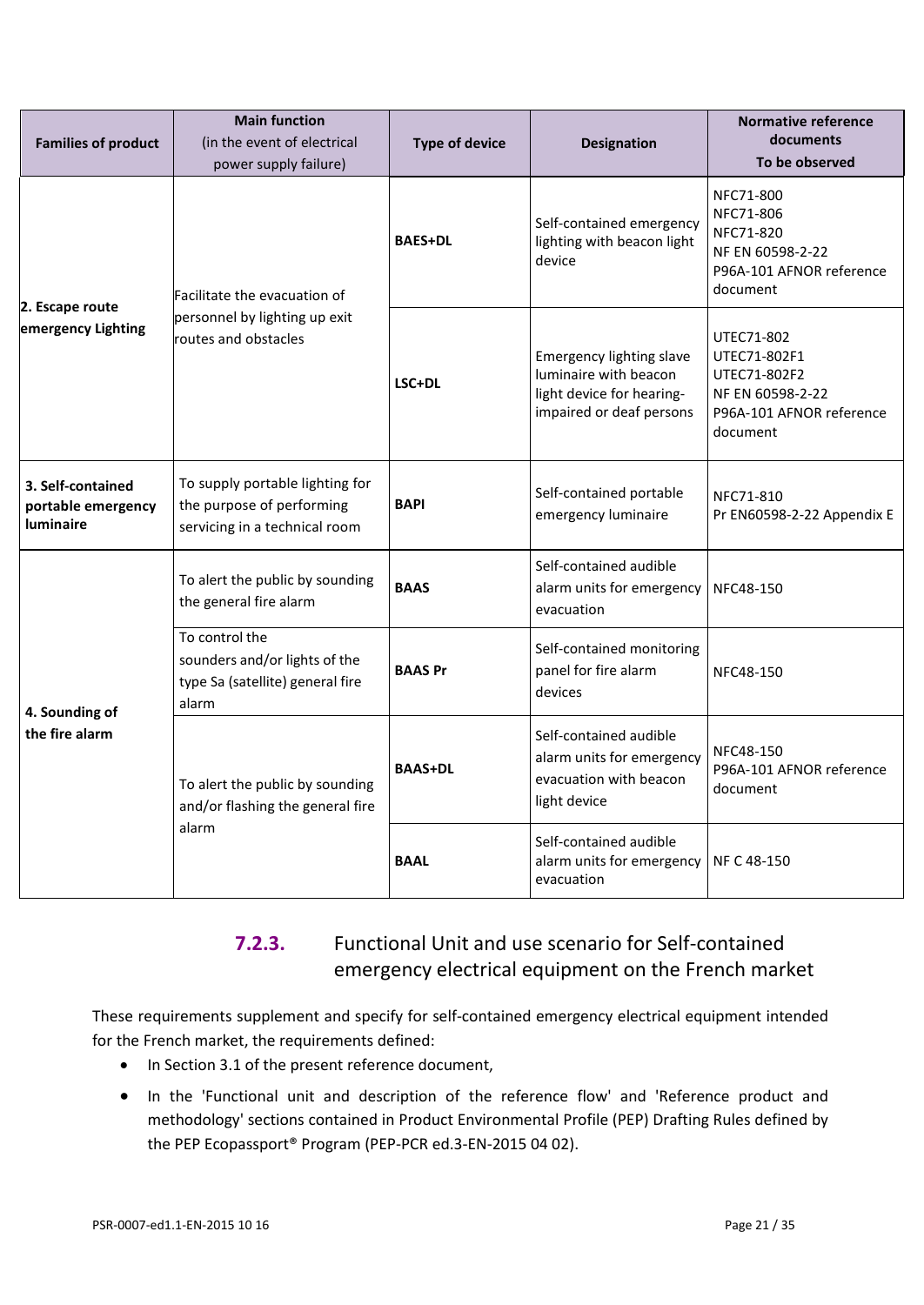| <b>Families of product</b>                                  | <b>Main function</b><br>(in the event of electrical<br>power supply failure)                  | <b>Type of device</b> | <b>Designation</b>                                                                                                | <b>Normative reference</b><br>documents<br>To be observed                                              |
|-------------------------------------------------------------|-----------------------------------------------------------------------------------------------|-----------------------|-------------------------------------------------------------------------------------------------------------------|--------------------------------------------------------------------------------------------------------|
| 2. Escape route                                             | Facilitate the evacuation of                                                                  | <b>BAES+DL</b>        | Self-contained emergency<br>lighting with beacon light<br>device                                                  | NFC71-800<br>NFC71-806<br>NFC71-820<br>NF EN 60598-2-22<br>P96A-101 AFNOR reference<br>document        |
| emergency Lighting                                          | personnel by lighting up exit<br>routes and obstacles                                         | LSC+DL                | <b>Emergency lighting slave</b><br>luminaire with beacon<br>light device for hearing-<br>impaired or deaf persons | UTEC71-802<br>UTEC71-802F1<br>UTEC71-802F2<br>NF EN 60598-2-22<br>P96A-101 AFNOR reference<br>document |
| 3. Self-contained<br>portable emergency<br><b>luminaire</b> | To supply portable lighting for<br>the purpose of performing<br>servicing in a technical room | <b>BAPI</b>           | Self-contained portable<br>emergency luminaire                                                                    | NFC71-810<br>Pr EN60598-2-22 Appendix E                                                                |
|                                                             | To alert the public by sounding<br>the general fire alarm                                     | <b>BAAS</b>           | Self-contained audible<br>alarm units for emergency<br>evacuation                                                 | NFC48-150                                                                                              |
| 4. Sounding of                                              | To control the<br>sounders and/or lights of the<br>type Sa (satellite) general fire<br>alarm  | <b>BAAS Pr</b>        | Self-contained monitoring<br>panel for fire alarm<br>devices                                                      | NFC48-150                                                                                              |
| the fire alarm                                              | To alert the public by sounding<br>and/or flashing the general fire                           | <b>BAAS+DL</b>        | Self-contained audible<br>alarm units for emergency<br>evacuation with beacon<br>light device                     | NFC48-150<br>P96A-101 AFNOR reference<br>document                                                      |
|                                                             | alarm                                                                                         | <b>BAAL</b>           | Self-contained audible<br>alarm units for emergency<br>evacuation                                                 | NF C 48-150                                                                                            |

## **7.2.3.** Functional Unit and use scenario for Self-contained emergency electrical equipment on the French market

These requirements supplement and specify for self-contained emergency electrical equipment intended for the French market, the requirements defined:

- In Section 3.1 of the present reference document,
- In the 'Functional unit and description of the reference flow' and 'Reference product and methodology' sections contained in Product Environmental Profile (PEP) Drafting Rules defined by the PEP Ecopassport® Program (PEP-PCR ed.3-EN-2015 04 02).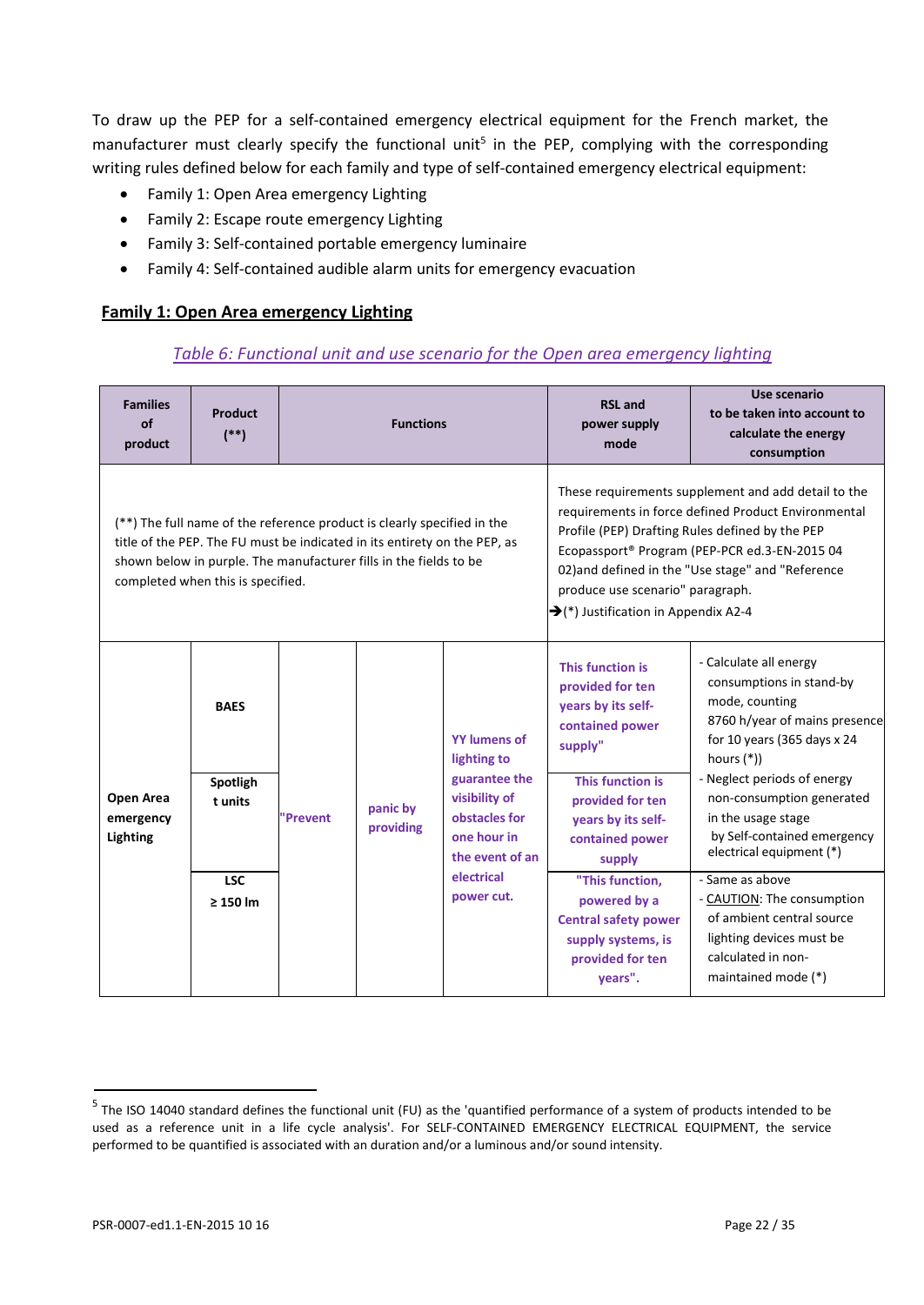To draw up the PEP for a self-contained emergency electrical equipment for the French market, the manufacturer must clearly specify the functional unit<sup>5</sup> in the PEP, complying with the corresponding writing rules defined below for each family and type of self-contained emergency electrical equipment:

- Family 1: Open Area emergency Lighting
- Family 2: Escape route emergency Lighting
- Family 3: Self-contained portable emergency luminaire
- Family 4: Self-contained audible alarm units for emergency evacuation

#### **Family 1: Open Area emergency Lighting**

#### *Table 6: Functional unit and use scenario for the Open area emergency lighting*

| <b>Families</b><br>of<br>product                                                                                                                                                                                                                               | <b>Product</b><br>$(**)$                         | <b>Functions</b> |                       |                                                                                                                                                     | <b>RSL</b> and<br>power supply<br>mode                                                                                                                                                                                 | Use scenario<br>to be taken into account to<br>calculate the energy<br>consumption                                                                                                                                                                                                                                                                  |
|----------------------------------------------------------------------------------------------------------------------------------------------------------------------------------------------------------------------------------------------------------------|--------------------------------------------------|------------------|-----------------------|-----------------------------------------------------------------------------------------------------------------------------------------------------|------------------------------------------------------------------------------------------------------------------------------------------------------------------------------------------------------------------------|-----------------------------------------------------------------------------------------------------------------------------------------------------------------------------------------------------------------------------------------------------------------------------------------------------------------------------------------------------|
| (**) The full name of the reference product is clearly specified in the<br>title of the PEP. The FU must be indicated in its entirety on the PEP, as<br>shown below in purple. The manufacturer fills in the fields to be<br>completed when this is specified. |                                                  |                  |                       |                                                                                                                                                     | produce use scenario" paragraph.<br>$\rightarrow$ (*) Justification in Appendix A2-4                                                                                                                                   | These requirements supplement and add detail to the<br>requirements in force defined Product Environmental<br>Profile (PEP) Drafting Rules defined by the PEP<br>Ecopassport® Program (PEP-PCR ed.3-EN-2015 04<br>02) and defined in the "Use stage" and "Reference                                                                                 |
| Open Area<br>emergency<br>Lighting                                                                                                                                                                                                                             | <b>BAES</b><br>Spotligh<br>t units<br><b>LSC</b> | <b>Prevent</b>   | panic by<br>providing | <b>YY lumens of</b><br>lighting to<br>guarantee the<br>visibility of<br>obstacles for<br>one hour in<br>the event of an<br>electrical<br>power cut. | This function is<br>provided for ten<br>years by its self-<br>contained power<br>supply"<br>This function is<br>provided for ten<br>years by its self-<br>contained power<br>supply<br>"This function.<br>powered by a | - Calculate all energy<br>consumptions in stand-by<br>mode, counting<br>8760 h/year of mains presence<br>for 10 years (365 days x 24<br>hours $(*)$ )<br>- Neglect periods of energy<br>non-consumption generated<br>in the usage stage<br>by Self-contained emergency<br>electrical equipment (*)<br>- Same as above<br>- CAUTION: The consumption |
|                                                                                                                                                                                                                                                                |                                                  | $\geq 150$ lm    |                       | <b>Central safety power</b><br>supply systems, is<br>provided for ten<br>vears".                                                                    | of ambient central source<br>lighting devices must be<br>calculated in non-<br>maintained mode (*)                                                                                                                     |                                                                                                                                                                                                                                                                                                                                                     |

 $<sup>5</sup>$  The ISO 14040 standard defines the functional unit (FU) as the 'quantified performance of a system of products intended to be</sup> used as a reference unit in a life cycle analysis'. For SELF-CONTAINED EMERGENCY ELECTRICAL EQUIPMENT, the service performed to be quantified is associated with an duration and/or a luminous and/or sound intensity.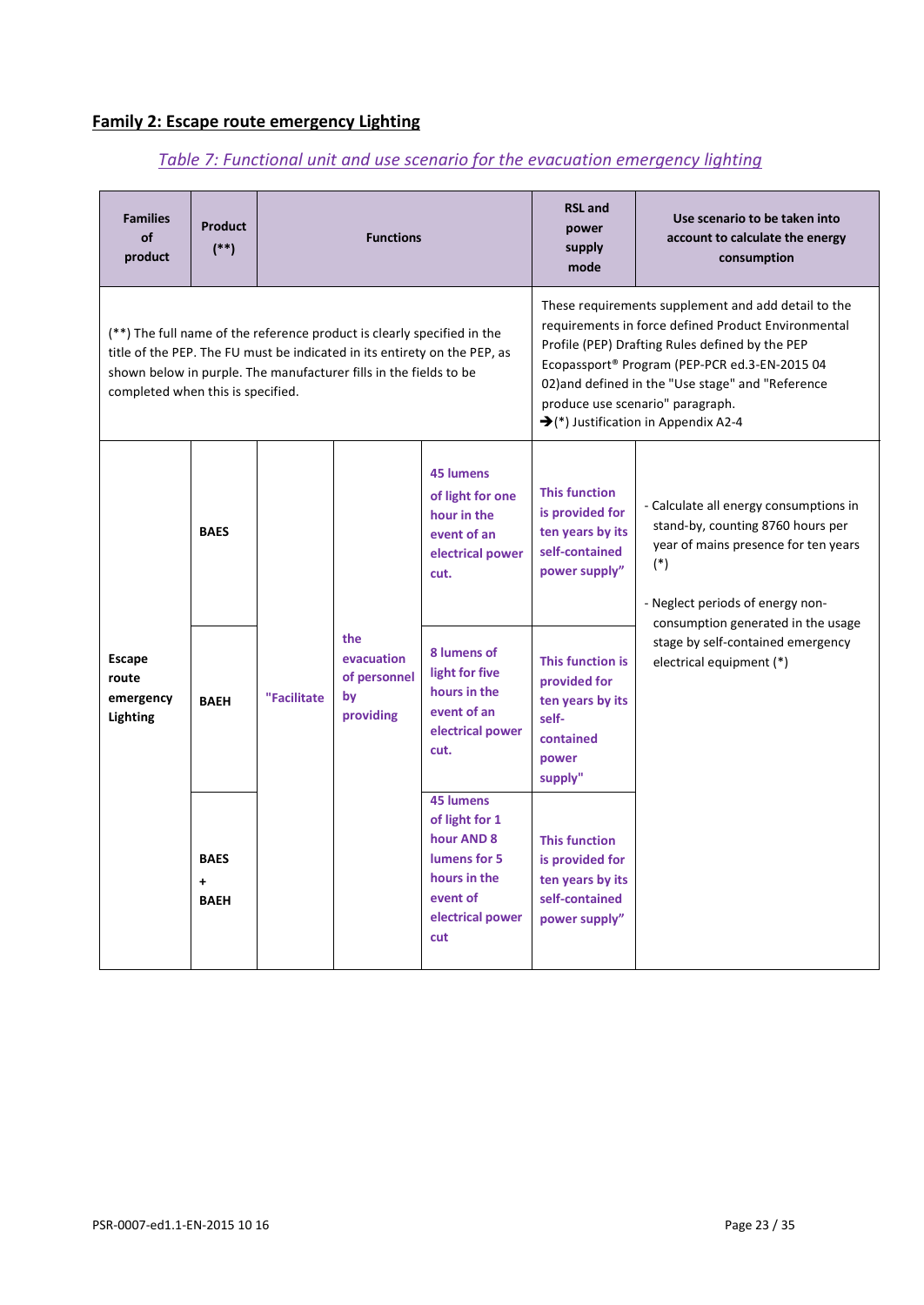## **Family 2: Escape route emergency Lighting**

# *Table 7: Functional unit and use scenario for the evacuation emergency lighting*

| <b>Families</b><br>of<br>product                                                                                                                                                                                                                               | <b>Product</b><br>$(**)$                  | <b>Functions</b>                                                                                                        |                                                                                                |                                                                                                | <b>RSL and</b><br>power<br>supply<br>mode                                                                                                                                                                                                                                                                                                                   | Use scenario to be taken into<br>account to calculate the energy<br>consumption                                                                                  |
|----------------------------------------------------------------------------------------------------------------------------------------------------------------------------------------------------------------------------------------------------------------|-------------------------------------------|-------------------------------------------------------------------------------------------------------------------------|------------------------------------------------------------------------------------------------|------------------------------------------------------------------------------------------------|-------------------------------------------------------------------------------------------------------------------------------------------------------------------------------------------------------------------------------------------------------------------------------------------------------------------------------------------------------------|------------------------------------------------------------------------------------------------------------------------------------------------------------------|
| (**) The full name of the reference product is clearly specified in the<br>title of the PEP. The FU must be indicated in its entirety on the PEP, as<br>shown below in purple. The manufacturer fills in the fields to be<br>completed when this is specified. |                                           |                                                                                                                         |                                                                                                |                                                                                                | These requirements supplement and add detail to the<br>requirements in force defined Product Environmental<br>Profile (PEP) Drafting Rules defined by the PEP<br>Ecopassport® Program (PEP-PCR ed.3-EN-2015 04<br>02) and defined in the "Use stage" and "Reference<br>produce use scenario" paragraph.<br>$\rightarrow$ (*) Justification in Appendix A2-4 |                                                                                                                                                                  |
|                                                                                                                                                                                                                                                                | <b>BAES</b>                               |                                                                                                                         |                                                                                                | <b>45 lumens</b><br>of light for one<br>hour in the<br>event of an<br>electrical power<br>cut. | <b>This function</b><br>is provided for<br>ten years by its<br>self-contained<br>power supply"                                                                                                                                                                                                                                                              | - Calculate all energy consumptions in<br>stand-by, counting 8760 hours per<br>year of mains presence for ten years<br>$(*)$<br>- Neglect periods of energy non- |
| <b>Escape</b><br>route<br>emergency<br>Lighting                                                                                                                                                                                                                | <b>BAEH</b>                               | "Facilitate                                                                                                             | the<br>evacuation<br>of personnel<br>by<br>providing                                           | 8 lumens of<br>light for five<br>hours in the<br>event of an<br>electrical power<br>cut.       | This function is<br>provided for<br>ten years by its<br>self-<br>contained<br>power<br>supply"                                                                                                                                                                                                                                                              | consumption generated in the usage<br>stage by self-contained emergency<br>electrical equipment (*)                                                              |
|                                                                                                                                                                                                                                                                | <b>BAES</b><br>$\ddotmark$<br><b>BAEH</b> | <b>45 lumens</b><br>of light for 1<br>hour AND 8<br>lumens for 5<br>hours in the<br>event of<br>electrical power<br>cut | <b>This function</b><br>is provided for<br>ten years by its<br>self-contained<br>power supply" |                                                                                                |                                                                                                                                                                                                                                                                                                                                                             |                                                                                                                                                                  |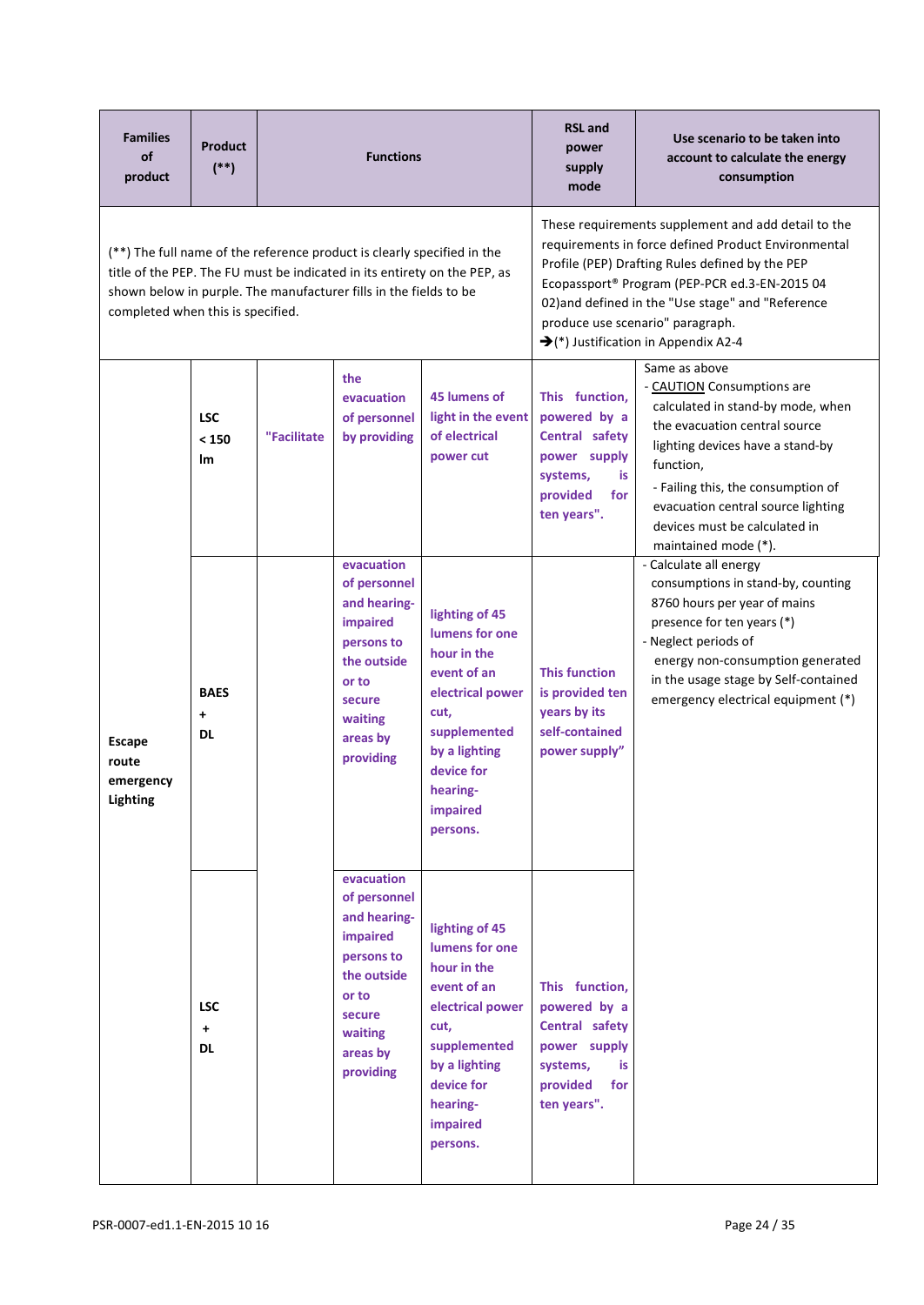| <b>Families</b><br>of<br>product                | <b>Product</b><br>$(*)$               |             | <b>Functions</b>                                                                                                                                                                                                          |                                                                                                                                                                                                                                                                                                                                                             | <b>RSL</b> and<br>Use scenario to be taken into<br>power<br>account to calculate the energy<br>supply<br>consumption<br>mode |                                                                                                                                                                                                                                                                                                         |  |  |  |
|-------------------------------------------------|---------------------------------------|-------------|---------------------------------------------------------------------------------------------------------------------------------------------------------------------------------------------------------------------------|-------------------------------------------------------------------------------------------------------------------------------------------------------------------------------------------------------------------------------------------------------------------------------------------------------------------------------------------------------------|------------------------------------------------------------------------------------------------------------------------------|---------------------------------------------------------------------------------------------------------------------------------------------------------------------------------------------------------------------------------------------------------------------------------------------------------|--|--|--|
| completed when this is specified.               |                                       |             | (**) The full name of the reference product is clearly specified in the<br>title of the PEP. The FU must be indicated in its entirety on the PEP, as<br>shown below in purple. The manufacturer fills in the fields to be | These requirements supplement and add detail to the<br>requirements in force defined Product Environmental<br>Profile (PEP) Drafting Rules defined by the PEP<br>Ecopassport® Program (PEP-PCR ed.3-EN-2015 04<br>02) and defined in the "Use stage" and "Reference<br>produce use scenario" paragraph.<br>$\rightarrow$ (*) Justification in Appendix A2-4 |                                                                                                                              |                                                                                                                                                                                                                                                                                                         |  |  |  |
|                                                 | <b>LSC</b><br>< 150<br>lm             | "Facilitate | the<br>evacuation<br>of personnel<br>by providing                                                                                                                                                                         | 45 lumens of<br>light in the event<br>of electrical<br>power cut                                                                                                                                                                                                                                                                                            | This function,<br>powered by a<br>Central safety<br>power supply<br>systems,<br>is<br>provided<br>for<br>ten years".         | Same as above<br>- CAUTION Consumptions are<br>calculated in stand-by mode, when<br>the evacuation central source<br>lighting devices have a stand-by<br>function,<br>- Failing this, the consumption of<br>evacuation central source lighting<br>devices must be calculated in<br>maintained mode (*). |  |  |  |
| <b>Escape</b><br>route<br>emergency<br>Lighting | <b>BAES</b><br>$\ddot{}$<br><b>DL</b> |             | evacuation<br>of personnel<br>and hearing-<br>impaired<br>persons to<br>the outside<br>or to<br>secure<br>waiting<br>areas by<br>providing                                                                                | lighting of 45<br>lumens for one<br>hour in the<br>event of an<br>electrical power<br>cut,<br>supplemented<br>by a lighting<br>device for<br>hearing-<br>impaired<br>persons.                                                                                                                                                                               | <b>This function</b><br>is provided ten<br>years by its<br>self-contained<br>power supply"                                   | - Calculate all energy<br>consumptions in stand-by, counting<br>8760 hours per year of mains<br>presence for ten years (*)<br>- Neglect periods of<br>energy non-consumption generated<br>in the usage stage by Self-contained<br>emergency electrical equipment (*)                                    |  |  |  |
|                                                 | <b>LSC</b><br>$\ddot{}$<br><b>DL</b>  |             | evacuation<br>of personnel<br>and hearing-<br>impaired<br>persons to<br>the outside<br>or to<br>secure<br>waiting<br>areas by<br>providing                                                                                | lighting of 45<br>lumens for one<br>hour in the<br>event of an<br>electrical power<br>cut,<br>supplemented<br>by a lighting<br>device for<br>hearing-<br>impaired<br>persons.                                                                                                                                                                               | This function,<br>powered by a<br>Central safety<br>power supply<br>systems,<br>is<br>for<br>provided<br>ten years".         |                                                                                                                                                                                                                                                                                                         |  |  |  |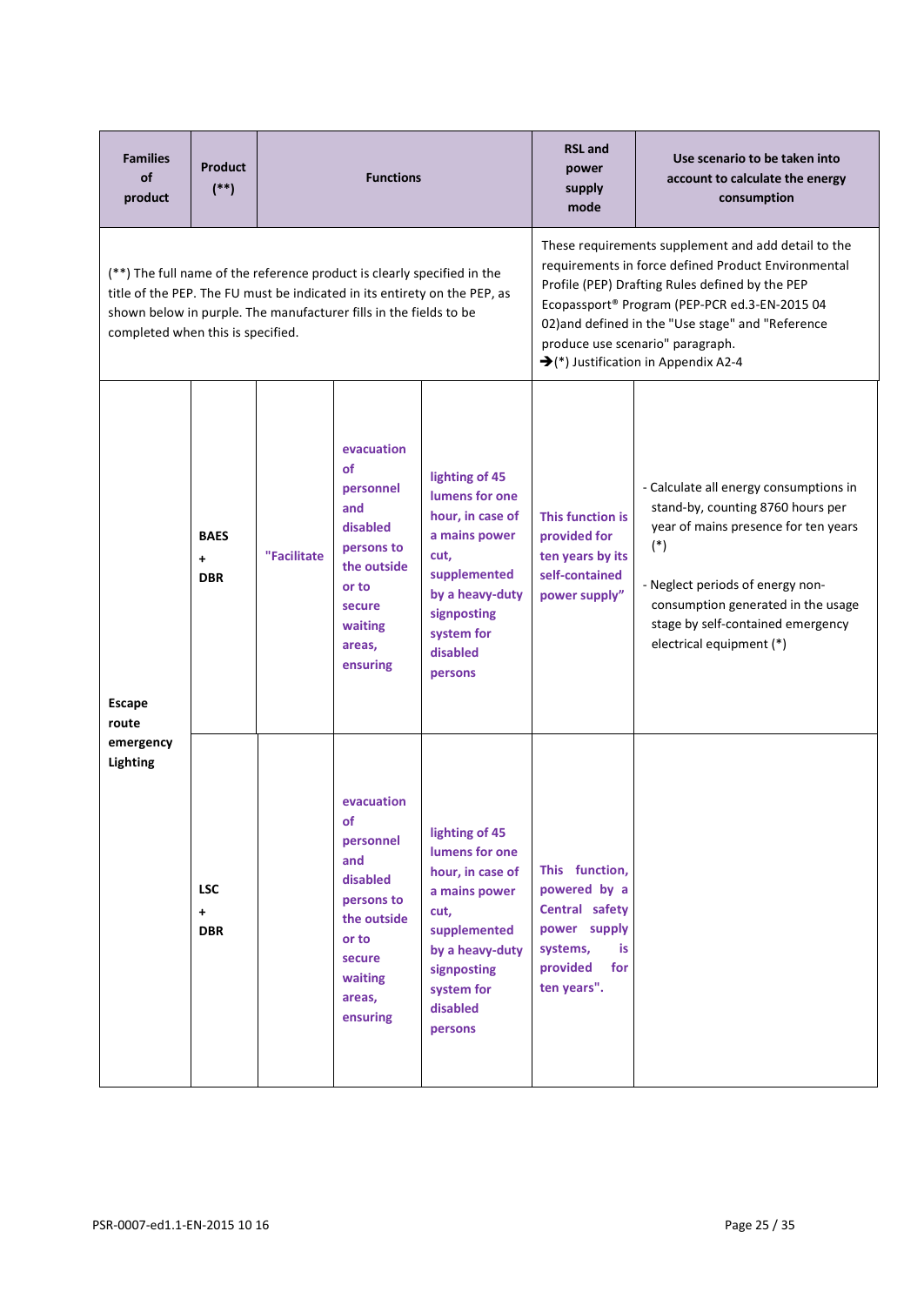| <b>Families</b><br>of<br>product  | <b>Product</b><br>$(**)$         |             | <b>Functions</b>                                                                                                                                                                                                          |                                                                                                                                                                                                                                                                                                                                                             | <b>RSL and</b><br>power<br>supply<br>mode                                                                            | Use scenario to be taken into<br>account to calculate the energy<br>consumption                                                                                                                                                                                         |  |
|-----------------------------------|----------------------------------|-------------|---------------------------------------------------------------------------------------------------------------------------------------------------------------------------------------------------------------------------|-------------------------------------------------------------------------------------------------------------------------------------------------------------------------------------------------------------------------------------------------------------------------------------------------------------------------------------------------------------|----------------------------------------------------------------------------------------------------------------------|-------------------------------------------------------------------------------------------------------------------------------------------------------------------------------------------------------------------------------------------------------------------------|--|
| completed when this is specified. |                                  |             | (**) The full name of the reference product is clearly specified in the<br>title of the PEP. The FU must be indicated in its entirety on the PEP, as<br>shown below in purple. The manufacturer fills in the fields to be | These requirements supplement and add detail to the<br>requirements in force defined Product Environmental<br>Profile (PEP) Drafting Rules defined by the PEP<br>Ecopassport® Program (PEP-PCR ed.3-EN-2015 04<br>02) and defined in the "Use stage" and "Reference<br>produce use scenario" paragraph.<br>$\rightarrow$ (*) Justification in Appendix A2-4 |                                                                                                                      |                                                                                                                                                                                                                                                                         |  |
| <b>Escape</b><br>route            | <b>BAES</b><br>$+$<br><b>DBR</b> | "Facilitate | evacuation<br><b>of</b><br>personnel<br>and<br>disabled<br>persons to<br>the outside<br>or to<br>secure<br>waiting<br>areas,<br>ensuring                                                                                  | lighting of 45<br>lumens for one<br>hour, in case of<br>a mains power<br>cut,<br>supplemented<br>by a heavy-duty<br>signposting<br>system for<br>disabled<br>persons                                                                                                                                                                                        | This function is<br>provided for<br>ten years by its<br>self-contained<br>power supply"                              | - Calculate all energy consumptions in<br>stand-by, counting 8760 hours per<br>year of mains presence for ten years<br>$(*)$<br>- Neglect periods of energy non-<br>consumption generated in the usage<br>stage by self-contained emergency<br>electrical equipment (*) |  |
| emergency<br>Lighting             | <b>LSC</b><br>$+$<br><b>DBR</b>  |             | evacuation<br>of<br>personnel<br>and<br>disabled<br>persons to<br>the outside<br>or to<br>secure<br>waiting<br>areas,<br>ensuring                                                                                         | lighting of 45<br>lumens for one<br>hour, in case of<br>a mains power<br>cut,<br>supplemented<br>by a heavy-duty<br>signposting<br>system for<br>disabled<br>persons                                                                                                                                                                                        | This function,<br>powered by a<br>Central safety<br>power supply<br>systems,<br>is<br>for<br>provided<br>ten years". |                                                                                                                                                                                                                                                                         |  |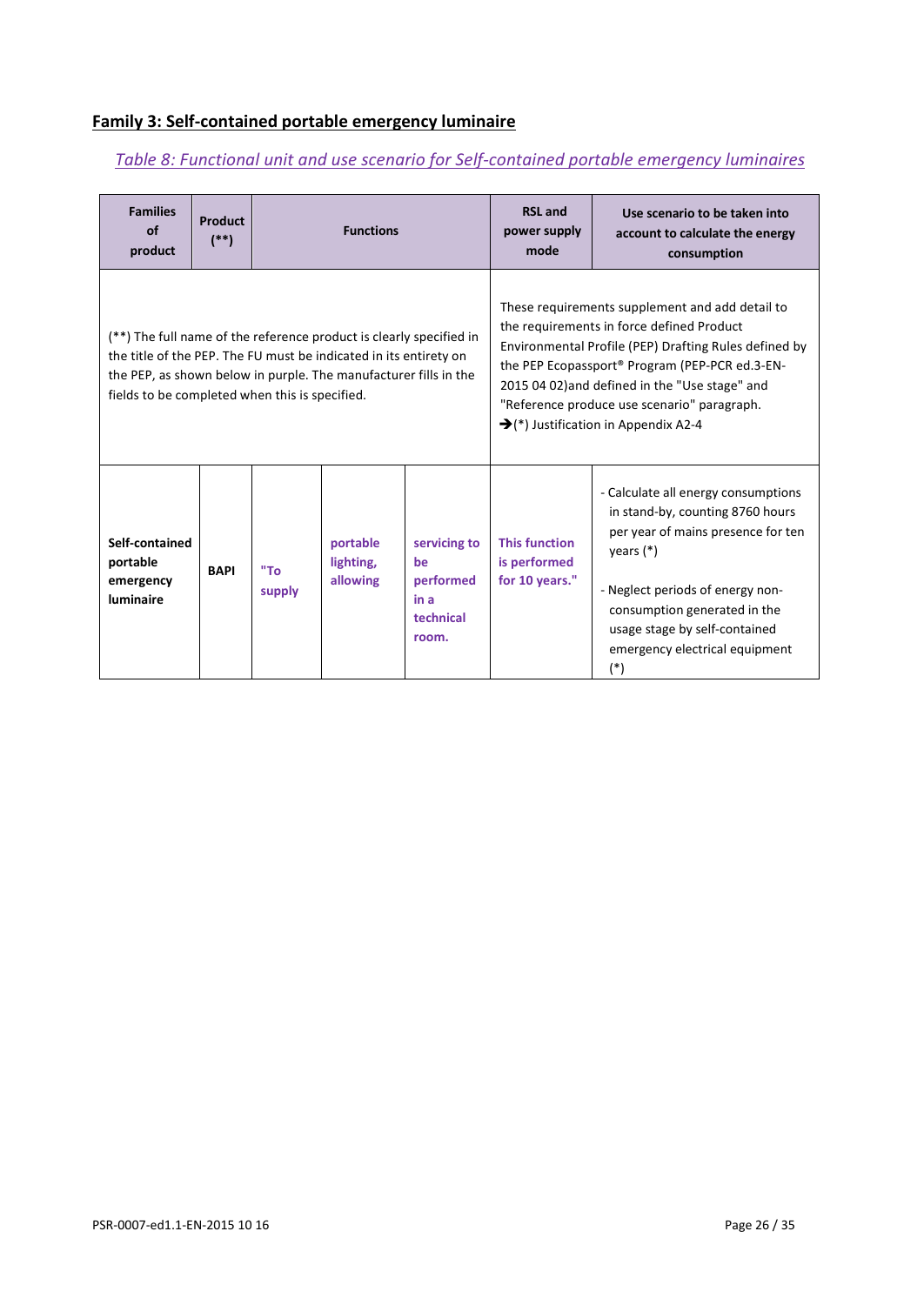#### **Family 3: Self-contained portable emergency luminaire**

#### *Table 8: Functional unit and use scenario for Self-contained portable emergency luminaires*

| <b>Families</b><br>of<br>product                                                                                                                                                                                                                               | <b>Product</b><br>$(*)$                                                                                                                                                                      |  | <b>Functions</b> |  | <b>RSL</b> and<br>Use scenario to be taken into<br>power supply<br>account to calculate the energy<br>mode<br>consumption                                                                                                                                                                                                                                    |                                                                                                                                                                                                                                                                              |  |  |  |
|----------------------------------------------------------------------------------------------------------------------------------------------------------------------------------------------------------------------------------------------------------------|----------------------------------------------------------------------------------------------------------------------------------------------------------------------------------------------|--|------------------|--|--------------------------------------------------------------------------------------------------------------------------------------------------------------------------------------------------------------------------------------------------------------------------------------------------------------------------------------------------------------|------------------------------------------------------------------------------------------------------------------------------------------------------------------------------------------------------------------------------------------------------------------------------|--|--|--|
| (**) The full name of the reference product is clearly specified in<br>the title of the PEP. The FU must be indicated in its entirety on<br>the PEP, as shown below in purple. The manufacturer fills in the<br>fields to be completed when this is specified. |                                                                                                                                                                                              |  |                  |  | These requirements supplement and add detail to<br>the requirements in force defined Product<br>Environmental Profile (PEP) Drafting Rules defined by<br>the PEP Ecopassport® Program (PEP-PCR ed.3-EN-<br>2015 04 02) and defined in the "Use stage" and<br>"Reference produce use scenario" paragraph.<br>$\rightarrow$ (*) Justification in Appendix A2-4 |                                                                                                                                                                                                                                                                              |  |  |  |
| Self-contained<br>portable<br>emergency<br>luminaire                                                                                                                                                                                                           | <b>This function</b><br>portable<br>servicing to<br>is performed<br>lighting,<br>be<br>"To<br><b>BAPI</b><br>for 10 years."<br>allowing<br>performed<br>supply<br>in a<br>technical<br>room. |  |                  |  |                                                                                                                                                                                                                                                                                                                                                              | - Calculate all energy consumptions<br>in stand-by, counting 8760 hours<br>per year of mains presence for ten<br>years $(*)$<br>- Neglect periods of energy non-<br>consumption generated in the<br>usage stage by self-contained<br>emergency electrical equipment<br>$(*)$ |  |  |  |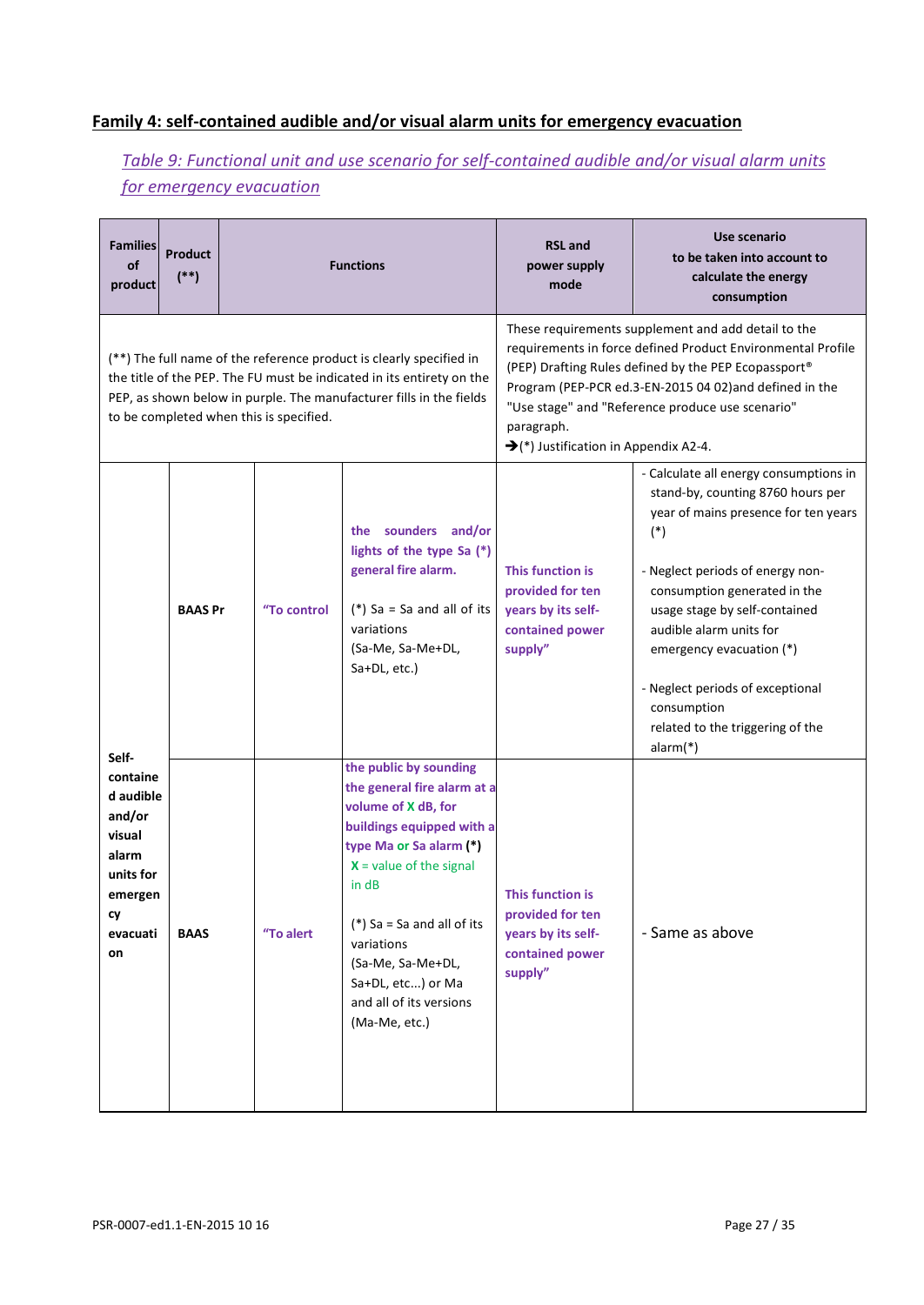### **Family 4: self-contained audible and/or visual alarm units for emergency evacuation**

## *Table 9: Functional unit and use scenario for self-contained audible and/or visual alarm units for emergency evacuation*

| <b>Families</b><br>of<br>product                                                                            | <b>Product</b><br>$(**)$ |                                         | <b>Functions</b>                                                                                                                                                                                                                                                                                             | <b>RSL and</b><br>power supply<br>mode                                                                                                                                                                                                                                                                                                                       | Use scenario<br>to be taken into account to<br>calculate the energy<br>consumption                                                                                                                                                                                                                                                                                                            |  |  |  |
|-------------------------------------------------------------------------------------------------------------|--------------------------|-----------------------------------------|--------------------------------------------------------------------------------------------------------------------------------------------------------------------------------------------------------------------------------------------------------------------------------------------------------------|--------------------------------------------------------------------------------------------------------------------------------------------------------------------------------------------------------------------------------------------------------------------------------------------------------------------------------------------------------------|-----------------------------------------------------------------------------------------------------------------------------------------------------------------------------------------------------------------------------------------------------------------------------------------------------------------------------------------------------------------------------------------------|--|--|--|
|                                                                                                             |                          | to be completed when this is specified. | (**) The full name of the reference product is clearly specified in<br>the title of the PEP. The FU must be indicated in its entirety on the<br>PEP, as shown below in purple. The manufacturer fills in the fields                                                                                          | These requirements supplement and add detail to the<br>requirements in force defined Product Environmental Profile<br>(PEP) Drafting Rules defined by the PEP Ecopassport®<br>Program (PEP-PCR ed.3-EN-2015 04 02) and defined in the<br>"Use stage" and "Reference produce use scenario"<br>paragraph.<br>$\rightarrow$ (*) Justification in Appendix A2-4. |                                                                                                                                                                                                                                                                                                                                                                                               |  |  |  |
|                                                                                                             | <b>BAAS Pr</b>           | "To control                             | the sounders and/or<br>lights of the type Sa (*)<br>general fire alarm.<br>(*) Sa = Sa and all of its<br>variations<br>(Sa-Me, Sa-Me+DL,<br>Sa+DL, etc.)                                                                                                                                                     | This function is<br>provided for ten<br>years by its self-<br>contained power<br>supply"                                                                                                                                                                                                                                                                     | - Calculate all energy consumptions in<br>stand-by, counting 8760 hours per<br>year of mains presence for ten years<br>$(*)$<br>- Neglect periods of energy non-<br>consumption generated in the<br>usage stage by self-contained<br>audible alarm units for<br>emergency evacuation (*)<br>- Neglect periods of exceptional<br>consumption<br>related to the triggering of the<br>$alarm(*)$ |  |  |  |
| Self-<br>containe<br>d audible<br>and/or<br>visual<br>alarm<br>units for<br>emergen<br>cy<br>evacuati<br>on | <b>BAAS</b>              | "To alert                               | the public by sounding<br>the general fire alarm at a<br>volume of X dB, for<br>buildings equipped with a<br>type Ma or Sa alarm (*)<br>$X =$ value of the signal<br>in dB<br>(*) Sa = Sa and all of its<br>variations<br>(Sa-Me, Sa-Me+DL,<br>Sa+DL, etc) or Ma<br>and all of its versions<br>(Ma-Me, etc.) | This function is<br>provided for ten<br>years by its self-<br>contained power<br>supply"                                                                                                                                                                                                                                                                     | - Same as above                                                                                                                                                                                                                                                                                                                                                                               |  |  |  |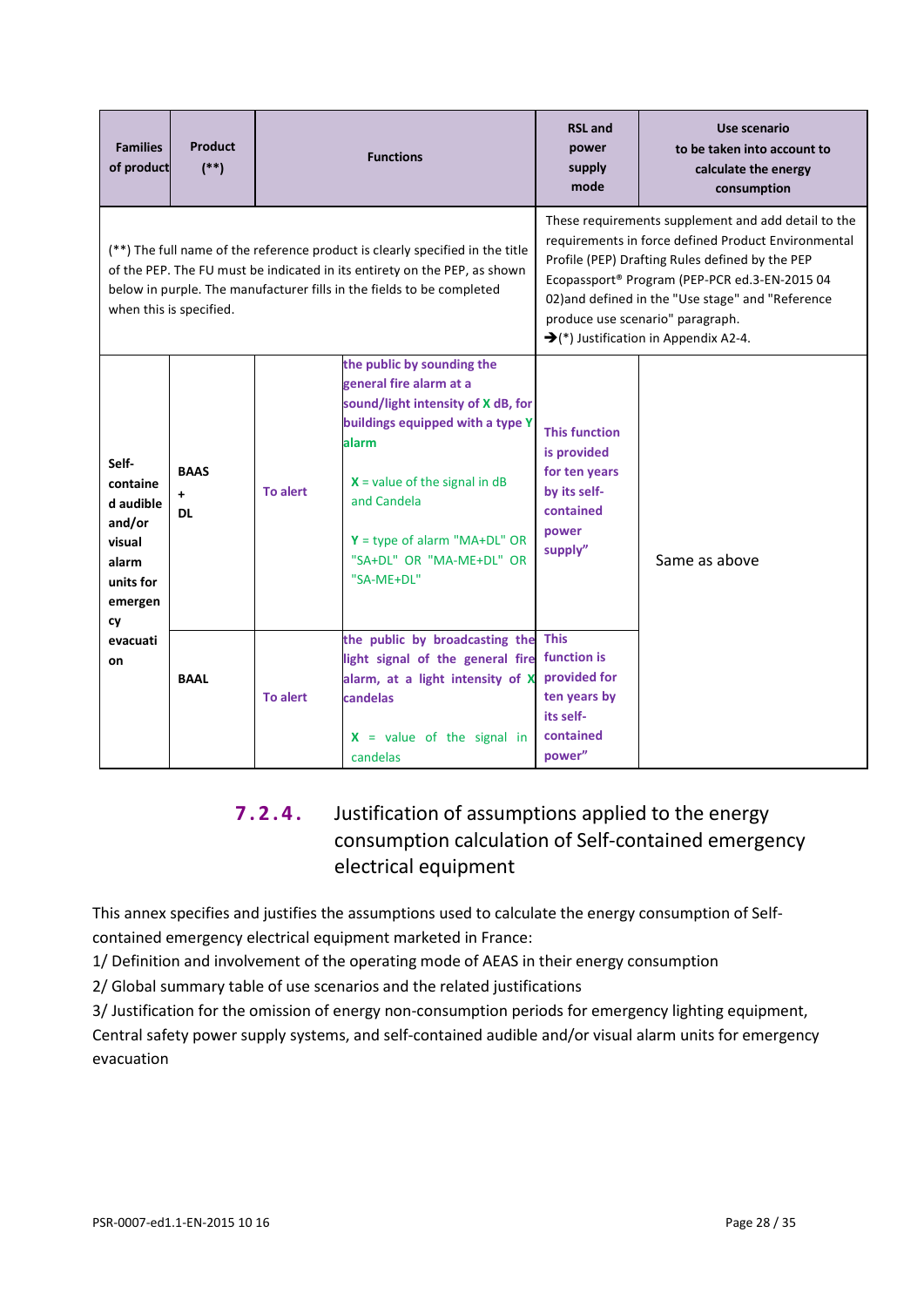| <b>Families</b><br>of product                                                             | <b>Product</b><br>$(**)$              |                 | <b>Functions</b>                                                                                                                                                                                                                                                       | <b>RSL</b> and<br>power<br>supply<br>mode                                                                                                                                                                                                                                                                                                                    | Use scenario<br>to be taken into account to<br>calculate the energy<br>consumption |  |
|-------------------------------------------------------------------------------------------|---------------------------------------|-----------------|------------------------------------------------------------------------------------------------------------------------------------------------------------------------------------------------------------------------------------------------------------------------|--------------------------------------------------------------------------------------------------------------------------------------------------------------------------------------------------------------------------------------------------------------------------------------------------------------------------------------------------------------|------------------------------------------------------------------------------------|--|
|                                                                                           | when this is specified.               |                 | (**) The full name of the reference product is clearly specified in the title<br>of the PEP. The FU must be indicated in its entirety on the PEP, as shown<br>below in purple. The manufacturer fills in the fields to be completed                                    | These requirements supplement and add detail to the<br>requirements in force defined Product Environmental<br>Profile (PEP) Drafting Rules defined by the PEP<br>Ecopassport® Program (PEP-PCR ed.3-EN-2015 04<br>02) and defined in the "Use stage" and "Reference<br>produce use scenario" paragraph.<br>$\rightarrow$ (*) Justification in Appendix A2-4. |                                                                                    |  |
| Self-<br>containe<br>d audible<br>and/or<br>visual<br>alarm<br>units for<br>emergen<br>cy | <b>BAAS</b><br>$\ddot{}$<br><b>DL</b> | To alert        | the public by sounding the<br>general fire alarm at a<br>sound/light intensity of X dB, for<br>buildings equipped with a type Y<br>alarm<br>$X =$ value of the signal in dB<br>and Candela<br>$Y = type of alarm "MA+DL" OR$<br>"SA+DL" OR "MA-ME+DL" OR<br>"SA-ME+DL" | <b>This function</b><br>is provided<br>for ten years<br>by its self-<br>contained<br>power<br>supply"                                                                                                                                                                                                                                                        | Same as above                                                                      |  |
| evacuati<br>on                                                                            | <b>BAAL</b>                           | <b>To alert</b> | the public by broadcasting the<br>light signal of the general fire<br>alarm, at a light intensity of X<br>candelas<br>$X =$ value of the signal in<br>candelas                                                                                                         |                                                                                                                                                                                                                                                                                                                                                              |                                                                                    |  |

## **7.2.4.** Justification of assumptions applied to the energy consumption calculation of Self-contained emergency electrical equipment

This annex specifies and justifies the assumptions used to calculate the energy consumption of Selfcontained emergency electrical equipment marketed in France:

1/ Definition and involvement of the operating mode of AEAS in their energy consumption

2/ Global summary table of use scenarios and the related justifications

3/ Justification for the omission of energy non-consumption periods for emergency lighting equipment, Central safety power supply systems, and self-contained audible and/or visual alarm units for emergency evacuation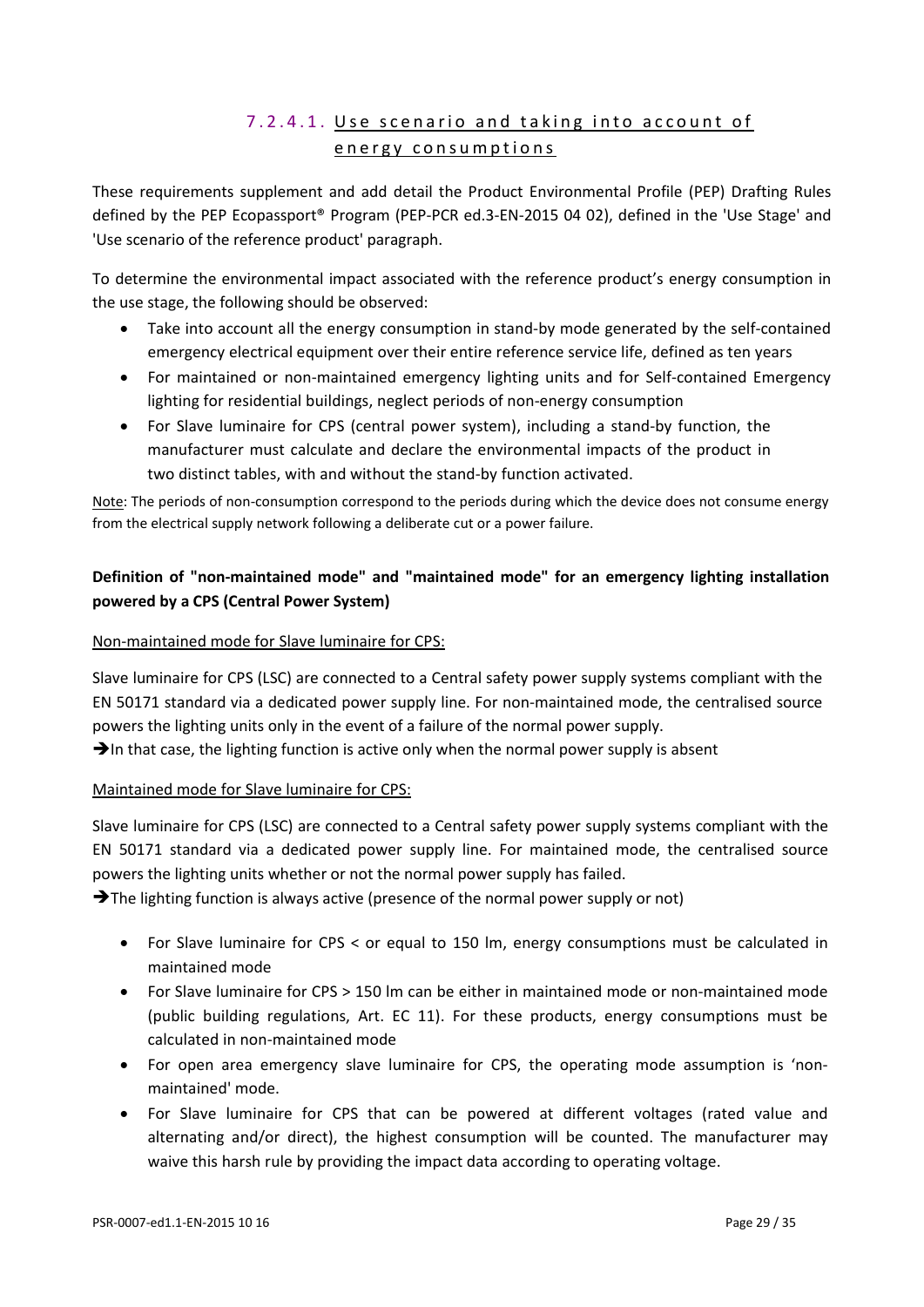## 7.2.4.1. Use scenario and taking into account of energy consumptions

These requirements supplement and add detail the Product Environmental Profile (PEP) Drafting Rules defined by the PEP Ecopassport® Program (PEP-PCR ed.3-EN-2015 04 02), defined in the 'Use Stage' and 'Use scenario of the reference product' paragraph.

To determine the environmental impact associated with the reference product's energy consumption in the use stage, the following should be observed:

- Take into account all the energy consumption in stand-by mode generated by the self-contained emergency electrical equipment over their entire reference service life, defined as ten years
- For maintained or non-maintained emergency lighting units and for Self-contained Emergency lighting for residential buildings, neglect periods of non-energy consumption
- For Slave luminaire for CPS (central power system), including a stand-by function, the manufacturer must calculate and declare the environmental impacts of the product in two distinct tables, with and without the stand-by function activated.

Note: The periods of non-consumption correspond to the periods during which the device does not consume energy from the electrical supply network following a deliberate cut or a power failure.

#### **Definition of "non-maintained mode" and "maintained mode" for an emergency lighting installation powered by a CPS (Central Power System)**

#### Non-maintained mode for Slave luminaire for CPS:

Slave luminaire for CPS (LSC) are connected to a Central safety power supply systems compliant with the EN 50171 standard via a dedicated power supply line. For non-maintained mode, the centralised source powers the lighting units only in the event of a failure of the normal power supply.

 $\rightarrow$  In that case, the lighting function is active only when the normal power supply is absent

#### Maintained mode for Slave luminaire for CPS:

Slave luminaire for CPS (LSC) are connected to a Central safety power supply systems compliant with the EN 50171 standard via a dedicated power supply line. For maintained mode, the centralised source powers the lighting units whether or not the normal power supply has failed.

 $\rightarrow$  The lighting function is always active (presence of the normal power supply or not)

- For Slave luminaire for CPS < or equal to 150 lm, energy consumptions must be calculated in maintained mode
- For Slave luminaire for CPS > 150 lm can be either in maintained mode or non-maintained mode (public building regulations, Art. EC 11). For these products, energy consumptions must be calculated in non-maintained mode
- For open area emergency slave luminaire for CPS, the operating mode assumption is 'nonmaintained' mode.
- For Slave luminaire for CPS that can be powered at different voltages (rated value and alternating and/or direct), the highest consumption will be counted. The manufacturer may waive this harsh rule by providing the impact data according to operating voltage.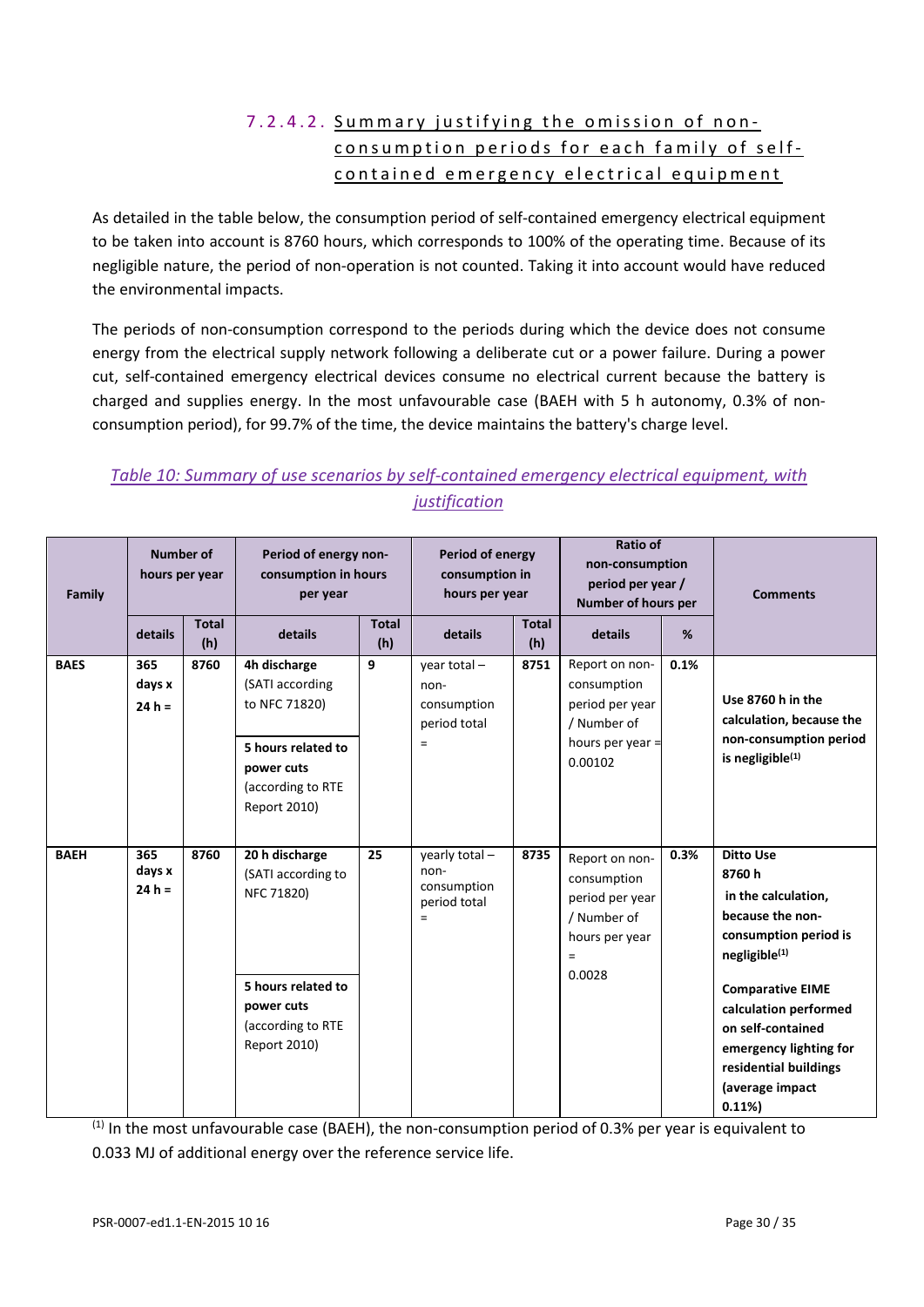## 7.2.4.2. Summary justifying the omission of non consum ption periods for each family of self contained emergency electrical equipment

As detailed in the table below, the consumption period of self-contained emergency electrical equipment to be taken into account is 8760 hours, which corresponds to 100% of the operating time. Because of its negligible nature, the period of non-operation is not counted. Taking it into account would have reduced the environmental impacts.

The periods of non-consumption correspond to the periods during which the device does not consume energy from the electrical supply network following a deliberate cut or a power failure. During a power cut, self-contained emergency electrical devices consume no electrical current because the battery is charged and supplies energy. In the most unfavourable case (BAEH with 5 h autonomy, 0.3% of nonconsumption period), for 99.7% of the time, the device maintains the battery's charge level.

#### *Table 10: Summary of use scenarios by self-contained emergency electrical equipment, with justification*

| Family      | <b>Number of</b><br>hours per year |                     | Period of energy non-<br>consumption in hours<br>per year                                                   |                     | Period of energy<br>consumption in<br>hours per year        |                     | Ratio of<br>non-consumption<br>period per year /<br>Number of hours per                                 |      | <b>Comments</b>                                                                                                                                                                                     |  |
|-------------|------------------------------------|---------------------|-------------------------------------------------------------------------------------------------------------|---------------------|-------------------------------------------------------------|---------------------|---------------------------------------------------------------------------------------------------------|------|-----------------------------------------------------------------------------------------------------------------------------------------------------------------------------------------------------|--|
|             | details                            | <b>Total</b><br>(h) | details                                                                                                     | <b>Total</b><br>(h) | details                                                     | <b>Total</b><br>(h) | details                                                                                                 | %    |                                                                                                                                                                                                     |  |
| <b>BAES</b> | 365<br>days x<br>$24 h =$          | 8760                | 4h discharge<br>(SATI according<br>to NFC 71820)<br>5 hours related to<br>power cuts                        | 9                   | year total-<br>non-<br>consumption<br>period total<br>$=$   | 8751                | Report on non-<br>consumption<br>period per year<br>/ Number of<br>hours per year =<br>0.00102          | 0.1% | Use 8760 h in the<br>calculation, because the<br>non-consumption period<br>is negligible <sup>(1)</sup>                                                                                             |  |
|             |                                    |                     | (according to RTE<br>Report 2010)                                                                           |                     |                                                             |                     |                                                                                                         |      |                                                                                                                                                                                                     |  |
| <b>BAEH</b> | 365<br>days x<br>$24 h =$          | 8760                | 20 h discharge<br>(SATI according to<br>NFC 71820)<br>5 hours related to<br>power cuts<br>(according to RTE | 25                  | yearly total-<br>non-<br>consumption<br>period total<br>$=$ | 8735                | Report on non-<br>consumption<br>period per year<br>/ Number of<br>hours per year<br>$\equiv$<br>0.0028 | 0.3% | <b>Ditto Use</b><br>8760h<br>in the calculation,<br>because the non-<br>consumption period is<br>negligible <sup>(1)</sup><br><b>Comparative EIME</b><br>calculation performed<br>on self-contained |  |
|             |                                    |                     | Report 2010)                                                                                                |                     |                                                             |                     |                                                                                                         |      | emergency lighting for<br>residential buildings<br>(average impact<br>0.11%                                                                                                                         |  |

 $(1)$  In the most unfavourable case (BAEH), the non-consumption period of 0.3% per year is equivalent to 0.033 MJ of additional energy over the reference service life.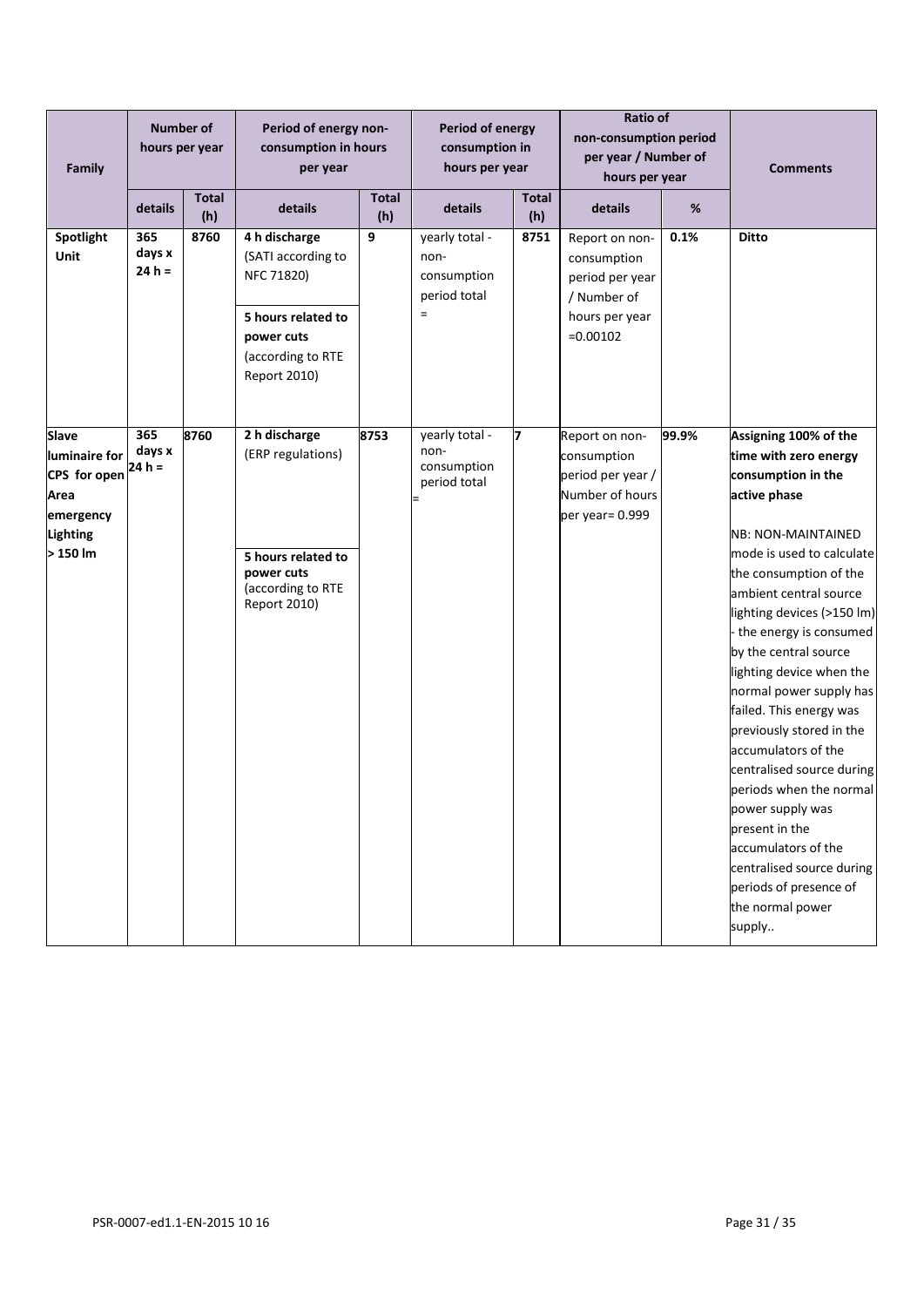| Family                                                                                     | <b>Number of</b><br>hours per year |                     | Period of energy non-<br>consumption in hours<br>per year                                                                  | Period of energy<br>consumption in<br>hours per year |                                                              | <b>Ratio of</b><br>non-consumption period<br>per year / Number of<br>hours per year |                                                                                                 | <b>Comments</b> |                                                                                                                                                                                                                                                                                                                                                                                                                                                                                                                                                                                                                                      |
|--------------------------------------------------------------------------------------------|------------------------------------|---------------------|----------------------------------------------------------------------------------------------------------------------------|------------------------------------------------------|--------------------------------------------------------------|-------------------------------------------------------------------------------------|-------------------------------------------------------------------------------------------------|-----------------|--------------------------------------------------------------------------------------------------------------------------------------------------------------------------------------------------------------------------------------------------------------------------------------------------------------------------------------------------------------------------------------------------------------------------------------------------------------------------------------------------------------------------------------------------------------------------------------------------------------------------------------|
|                                                                                            | details                            | <b>Total</b><br>(h) | details                                                                                                                    | <b>Total</b><br>(h)                                  | details                                                      | <b>Total</b><br>(h)                                                                 | details                                                                                         | %               |                                                                                                                                                                                                                                                                                                                                                                                                                                                                                                                                                                                                                                      |
| Spotlight<br>Unit                                                                          | 365<br>days x<br>$24 h =$          | 8760                | 4 h discharge<br>(SATI according to<br>NFC 71820)<br>5 hours related to<br>power cuts<br>(according to RTE<br>Report 2010) | 9                                                    | yearly total -<br>non-<br>consumption<br>period total<br>$=$ | 8751                                                                                | Report on non-<br>consumption<br>period per year<br>/ Number of<br>hours per year<br>$=0.00102$ | 0.1%            | <b>Ditto</b>                                                                                                                                                                                                                                                                                                                                                                                                                                                                                                                                                                                                                         |
| Slave<br>luminaire for<br>CPS for open<br>Area<br>emergency<br><b>Lighting</b><br>> 150 lm | 365<br>days x<br>$24 h =$          | 8760                | 2 h discharge<br>(ERP regulations)<br>5 hours related to<br>power cuts<br>(according to RTE<br>Report 2010)                | 8753                                                 | yearly total -<br>non-<br>consumption<br>period total        | 7                                                                                   | Report on non-<br>consumption<br>period per year /<br>Number of hours<br>per year= 0.999        | 99.9%           | Assigning 100% of the<br>time with zero energy<br>consumption in the<br>active phase<br><b>NB: NON-MAINTAINED</b><br>mode is used to calculate<br>the consumption of the<br>ambient central source<br>lighting devices (>150 lm)<br>- the energy is consumed<br>by the central source<br>lighting device when the<br>normal power supply has<br>failed. This energy was<br>previously stored in the<br>accumulators of the<br>centralised source during<br>periods when the normal<br>power supply was<br>present in the<br>accumulators of the<br>centralised source during<br>periods of presence of<br>the normal power<br>supply |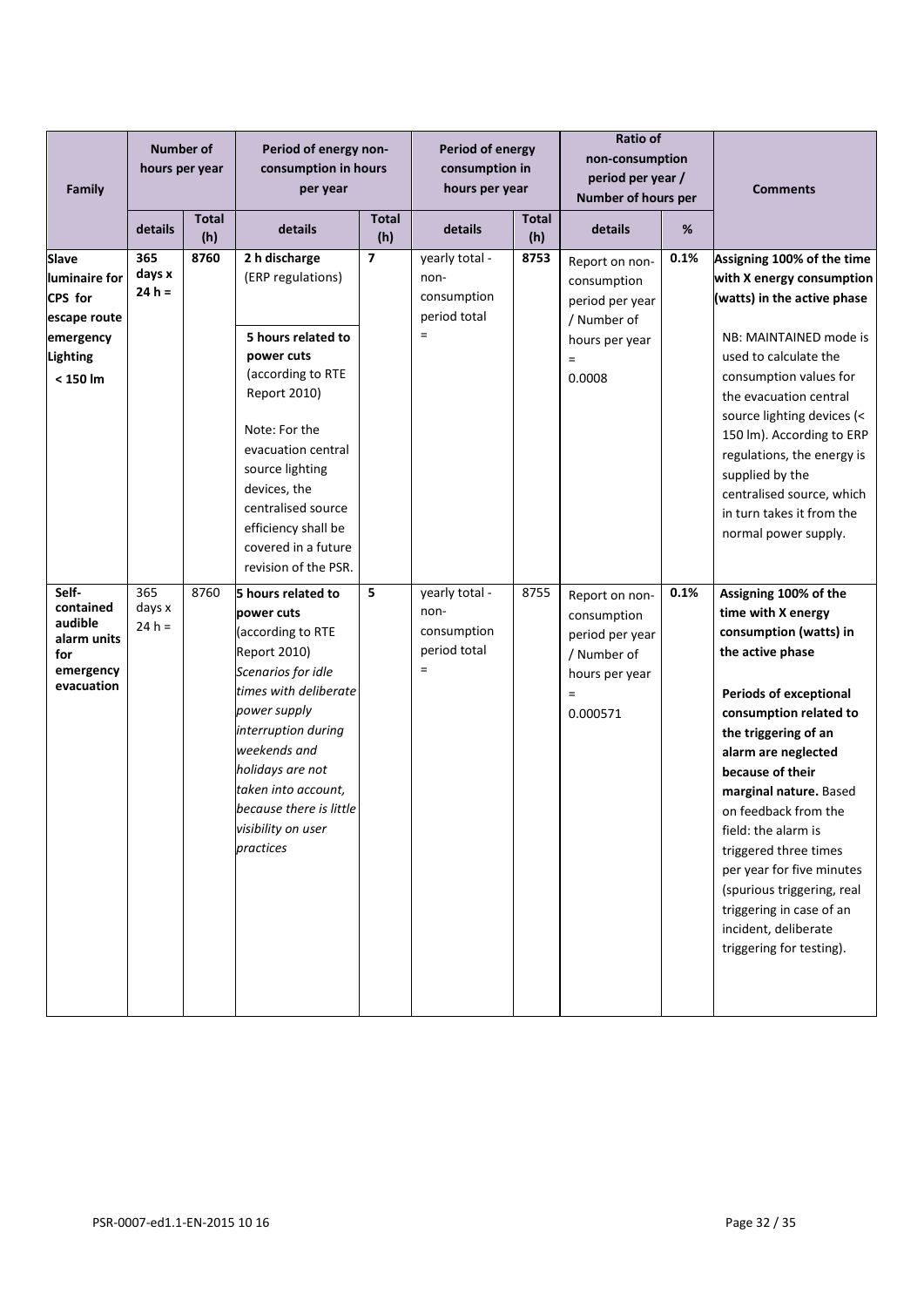| Family                                                                                          | <b>Number of</b><br>hours per year |                     | Period of energy non-<br>consumption in hours<br>per year                                                                                                                                                                                                                                   |                         | Period of energy<br>consumption in<br>hours per year              |              | Ratio of<br>non-consumption<br>period per year /<br>Number of hours per                                        |      | <b>Comments</b>                                                                                                                                                                                                                                                                                                                                                                                                                                                      |  |
|-------------------------------------------------------------------------------------------------|------------------------------------|---------------------|---------------------------------------------------------------------------------------------------------------------------------------------------------------------------------------------------------------------------------------------------------------------------------------------|-------------------------|-------------------------------------------------------------------|--------------|----------------------------------------------------------------------------------------------------------------|------|----------------------------------------------------------------------------------------------------------------------------------------------------------------------------------------------------------------------------------------------------------------------------------------------------------------------------------------------------------------------------------------------------------------------------------------------------------------------|--|
|                                                                                                 | details                            | <b>Total</b><br>(h) | details                                                                                                                                                                                                                                                                                     | <b>Total</b><br>(h)     | details                                                           | Total<br>(h) |                                                                                                                | %    |                                                                                                                                                                                                                                                                                                                                                                                                                                                                      |  |
| Slave<br>luminaire for<br>CPS for<br>escape route<br>emergency<br><b>Lighting</b><br>$< 150$ lm | 365<br>days x<br>$24 h =$          | 8760                | 2 h discharge<br>(ERP regulations)<br>5 hours related to<br>power cuts<br>(according to RTE<br>Report 2010)<br>Note: For the<br>evacuation central<br>source lighting<br>devices, the<br>centralised source<br>efficiency shall be<br>covered in a future<br>revision of the PSR.           | $\overline{\mathbf{z}}$ | yearly total -<br>non-<br>consumption<br>period total<br>$=$      | 8753         | Report on non-<br>consumption<br>period per year<br>/ Number of<br>hours per year<br>$\quad \  \  =$<br>0.0008 | 0.1% | Assigning 100% of the time<br>with X energy consumption<br>(watts) in the active phase<br>NB: MAINTAINED mode is<br>used to calculate the<br>consumption values for<br>the evacuation central<br>source lighting devices (<<br>150 lm). According to ERP<br>regulations, the energy is<br>supplied by the<br>centralised source, which<br>in turn takes it from the<br>normal power supply.                                                                          |  |
| Self-<br>contained<br>audible<br>alarm units<br>for<br>emergency<br>evacuation                  | 365<br>days x<br>$24 h =$          | 8760                | 5 hours related to<br>power cuts<br>(according to RTE<br><b>Report 2010)</b><br>Scenarios for idle<br>times with deliberate<br>power supply<br>interruption during<br>weekends and<br>holidays are not<br>taken into account,<br>because there is little<br>visibility on user<br>practices | 5                       | yearly total -<br>non-<br>consumption<br>period total<br>$\equiv$ | 8755         | Report on non-<br>consumption<br>period per year<br>/ Number of<br>hours per year<br>$=$<br>0.000571           | 0.1% | Assigning 100% of the<br>time with X energy<br>consumption (watts) in<br>the active phase<br><b>Periods of exceptional</b><br>consumption related to<br>the triggering of an<br>alarm are neglected<br>because of their<br>marginal nature. Based<br>on feedback from the<br>field: the alarm is<br>triggered three times<br>per year for five minutes<br>(spurious triggering, real<br>triggering in case of an<br>incident, deliberate<br>triggering for testing). |  |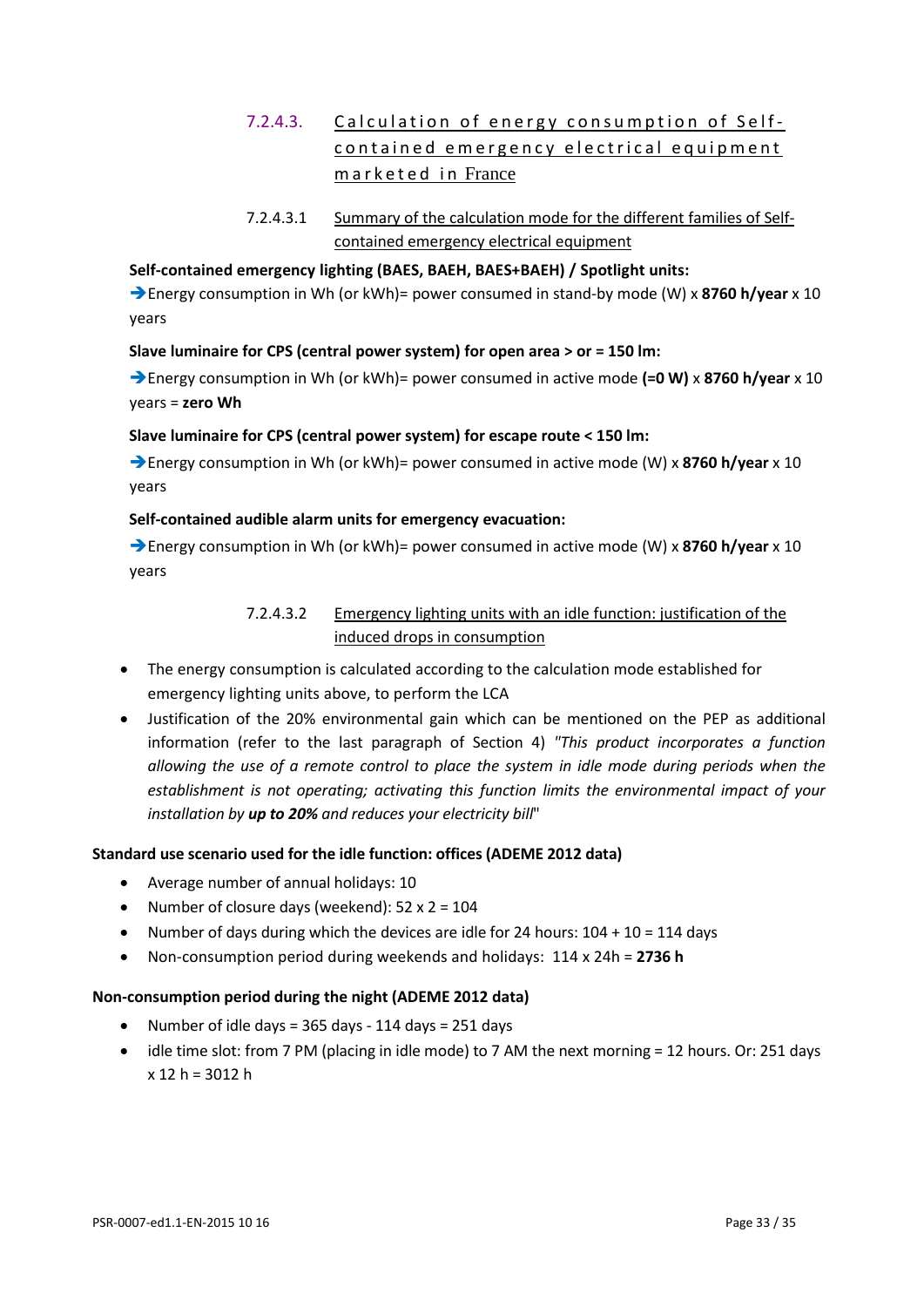## 7.2.4.3. Calculation of energy consumption of Selfcontained emergency electrical equipment marketed in France

7.2.4.3.1 Summary of the calculation mode for the different families of Selfcontained emergency electrical equipment

#### **Self-contained emergency lighting (BAES, BAEH, BAES+BAEH) / Spotlight units:**

Energy consumption in Wh (or kWh)= power consumed in stand-by mode (W) x **8760 h/year** x 10 years

#### **Slave luminaire for CPS (central power system) for open area > or = 150 lm:**

Energy consumption in Wh (or kWh)= power consumed in active mode **(=0 W)** x **8760 h/year** x 10 years = **zero Wh**

#### **Slave luminaire for CPS (central power system) for escape route < 150 lm:**

**→ Energy consumption in Wh (or kWh)= power consumed in active mode (W) x 8760 h/year x 10** years

#### **Self-contained audible alarm units for emergency evacuation:**

**→ Energy consumption in Wh (or kWh)= power consumed in active mode (W) x 8760 h/year x 10** years

#### 7.2.4.3.2 Emergency lighting units with an idle function: justification of the induced drops in consumption

- The energy consumption is calculated according to the calculation mode established for emergency lighting units above, to perform the LCA
- Justification of the 20% environmental gain which can be mentioned on the PEP as additional information (refer to the last paragraph of Section 4) *"This product incorporates a function allowing the use of a remote control to place the system in idle mode during periods when the establishment is not operating; activating this function limits the environmental impact of your installation by up to 20% and reduces your electricity bill*"

#### **Standard use scenario used for the idle function: offices (ADEME 2012 data)**

- Average number of annual holidays: 10
- Number of closure days (weekend):  $52 \times 2 = 104$
- Number of days during which the devices are idle for 24 hours:  $104 + 10 = 114$  days
- Non-consumption period during weekends and holidays: 114 x 24h = **2736 h**

#### **Non-consumption period during the night (ADEME 2012 data)**

- Number of idle days = 365 days 114 days = 251 days
- idle time slot: from 7 PM (placing in idle mode) to 7 AM the next morning = 12 hours. Or: 251 days  $x 12 h = 3012 h$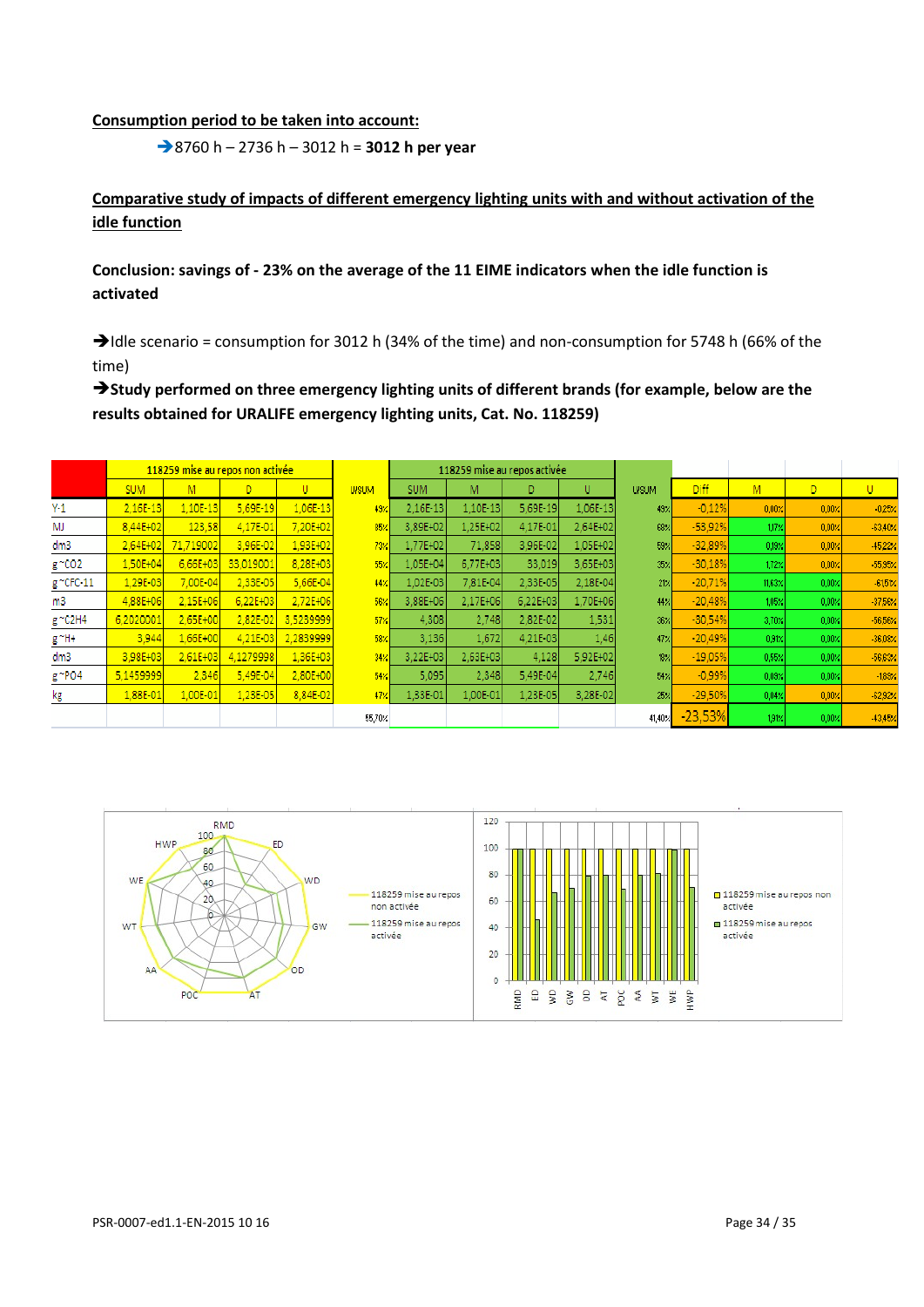#### **Consumption period to be taken into account:**

8760 h – 2736 h – 3012 h = **3012 h per year**

#### **Comparative study of impacts of different emergency lighting units with and without activation of the idle function**

#### **Conclusion: savings of - 23% on the average of the 11 EIME indicators when the idle function is activated**

 $\rightarrow$  Idle scenario = consumption for 3012 h (34% of the time) and non-consumption for 5748 h (66% of the time)

**Study performed on three emergency lighting units of different brands (for example, below are the results obtained for URALIFE emergency lighting units, Cat. No. 118259)**

|               | 118259 mise au repos non activée |           |            |           |               |            |              | 118259 mise au repos activée |          |               |             |              |                  |                 |
|---------------|----------------------------------|-----------|------------|-----------|---------------|------------|--------------|------------------------------|----------|---------------|-------------|--------------|------------------|-----------------|
|               | <b>SUM</b>                       | M         | D          | U         | <b>U/SUM</b>  | <b>SUM</b> | M            | D                            | U        | <b>UISUM</b>  | <b>Diff</b> | M            | D.               | U               |
| $Y-1$         | 2,16E-13                         | 1.10E-13  | $5.69E-19$ | 1,06E-13  | 49%           | 2.16E-13   | 1.10E-13     | 5.69E-19                     | 1,06E-13 | 49%           | $-0,12%$    | 0,00%        | $0,00 \times$    | $-0.25%$        |
| MJ            | 8.44E+02                         | 123,58    | 4.17E-01   | 7,20E+02  | 85%           | 3.89E+02   | 1.25E+02     | 4,17E-01                     | 2.64E+02 | 68%           | $-53,92%$   | 1.17%        | 0,00%            | $-63,40\times$  |
| dm3           | 2.64E+02                         | 71,719002 | 3.96E-02   | 1,93E+02  | $73\%$        | 1.77E+02   | 71,858       | 3.96E-02                     | 1.05E+02 | 59%           | $-32,89%$   | $0.19\times$ | 0,00%            | $-45,22%$       |
| g ~CO2        | 1.50E+04                         | 6.66E+03  | 33,019001  | 8.28E+03  | 55%           | 1.05E+04   | 6.77E+03     | 33,019                       | 3.65E+03 | $35 \times$   | $-30,18%$   | 172%         | 0.00%            | $-55,95\times$  |
| $g$ ~CFC-11   | 1.29E-03                         | 7,00E-04  | 2.33E-05   | 5,66E-04  | 44%           | 1,02E-03   | 7.81E-04     | 2,33E-05                     | 2.18E-04 | 21/1          | $-20,71%$   | 11,63%       | 0,00%            | $-61,51 \times$ |
| m3            | 4,88E+06                         | 2,15E+06  | 6.22E+03   | 2,72E+06  | 56%           | 3,88E+06   | 2.17E+06     | 6.22E+03                     | 1,70E+06 | 44%           | $-20,48%$   | 1.05%        | 0,00%            | $-37,56\times$  |
| g ~C2H4       | 6,2020001                        | 2,65E+00  | 2,82E-02   | 3,5239999 | $57$ $\times$ | 4.308      | 2.748        | 2.82E-02                     | 1,531    | 36%           | $-30,54%$   | 3,70%        | 0.00%            | $-56,56%$       |
| $g^{\sim}$ H+ | 3,944                            | 1,66E+00  | 4.21E-03   | 2,2839999 | 58%           | 3.136      | 1,672        | 4.21E-03                     | 1,46     | 47%           | $-20.49%$   | 0.91%        | 0.00%            | $-36,08\times$  |
| dm3           | 3,98E+03                         | 2,61E+03  | 4.1279998  | 1,36E+03  | $34\%$        | 3,22E+03   | $2.63E + 03$ | 4,128                        | 5.92E+02 | $18 \times$   | $-19,05%$   | 0.55%        | 0.00%            | -56,63%         |
| g ~PO4        | 5.1459999                        | 2,346     | 5.49E-04   | 2,80E+00  | 54%           | 5.095      | 2.348        | 5.49E-04                     | 2.746    | 54%           | $-0,99%$    | $0.03\%$     | 0,00%            | $-1,89.2$       |
| kg            | 1,88E-01                         | 1,00E-01  | 1,23E-05   | 8,84E-02  | 47%           | 1,33E-01   | 1,00E-01     | 1,23E-05                     | 3,28E-02 | 25%           | $-29,50%$   | 0.04%        | $ 0,00 \times  $ | $-62,92 \times$ |
|               |                                  |           |            |           | 55,70%        |            |              |                              |          | $41,40\times$ | $-23,53%$   | 191%         | 0.00%            | $-43,45\times$  |